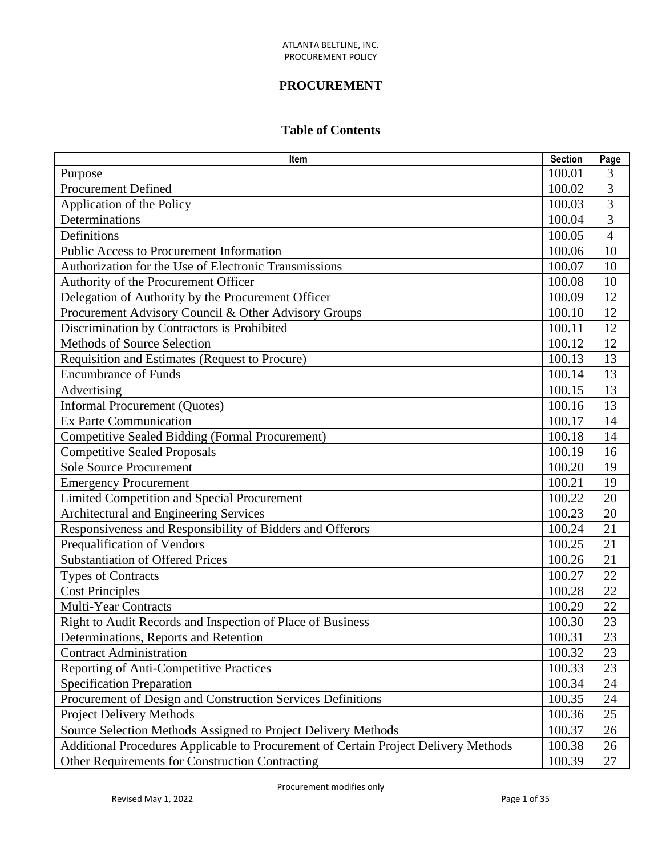# **PROCUREMENT**

## **Table of Contents**

| Item                                                                                |        | Page           |
|-------------------------------------------------------------------------------------|--------|----------------|
| Purpose                                                                             | 100.01 | 3              |
| <b>Procurement Defined</b>                                                          | 100.02 | 3              |
| Application of the Policy                                                           | 100.03 | 3              |
| Determinations                                                                      | 100.04 | $\overline{3}$ |
| Definitions                                                                         | 100.05 | $\overline{4}$ |
| <b>Public Access to Procurement Information</b>                                     | 100.06 | 10             |
| Authorization for the Use of Electronic Transmissions                               | 100.07 | 10             |
| Authority of the Procurement Officer                                                | 100.08 | 10             |
| Delegation of Authority by the Procurement Officer                                  | 100.09 | 12             |
| Procurement Advisory Council & Other Advisory Groups                                | 100.10 | 12             |
| Discrimination by Contractors is Prohibited                                         | 100.11 | 12             |
| <b>Methods of Source Selection</b>                                                  | 100.12 | 12             |
| Requisition and Estimates (Request to Procure)                                      | 100.13 | 13             |
| <b>Encumbrance of Funds</b>                                                         | 100.14 | 13             |
| Advertising                                                                         | 100.15 | 13             |
| <b>Informal Procurement (Quotes)</b>                                                | 100.16 | 13             |
| <b>Ex Parte Communication</b>                                                       | 100.17 | 14             |
| <b>Competitive Sealed Bidding (Formal Procurement)</b>                              | 100.18 | 14             |
| <b>Competitive Sealed Proposals</b>                                                 | 100.19 | 16             |
| <b>Sole Source Procurement</b>                                                      | 100.20 | 19             |
| <b>Emergency Procurement</b>                                                        | 100.21 | 19             |
| <b>Limited Competition and Special Procurement</b>                                  | 100.22 | 20             |
| Architectural and Engineering Services                                              | 100.23 | 20             |
| Responsiveness and Responsibility of Bidders and Offerors                           | 100.24 | 21             |
| Prequalification of Vendors                                                         | 100.25 | 21             |
| <b>Substantiation of Offered Prices</b>                                             | 100.26 | 21             |
| <b>Types of Contracts</b>                                                           | 100.27 | 22             |
| <b>Cost Principles</b>                                                              | 100.28 | 22             |
| <b>Multi-Year Contracts</b>                                                         | 100.29 | 22             |
| Right to Audit Records and Inspection of Place of Business                          | 100.30 | 23             |
| Determinations, Reports and Retention                                               | 100.31 | 23             |
| <b>Contract Administration</b>                                                      | 100.32 | 23             |
| <b>Reporting of Anti-Competitive Practices</b>                                      | 100.33 | $23\,$         |
| <b>Specification Preparation</b>                                                    | 100.34 | 24             |
| Procurement of Design and Construction Services Definitions                         | 100.35 | 24             |
| <b>Project Delivery Methods</b>                                                     | 100.36 | 25             |
| Source Selection Methods Assigned to Project Delivery Methods                       | 100.37 | 26             |
| Additional Procedures Applicable to Procurement of Certain Project Delivery Methods | 100.38 | 26             |
| Other Requirements for Construction Contracting                                     | 100.39 | 27             |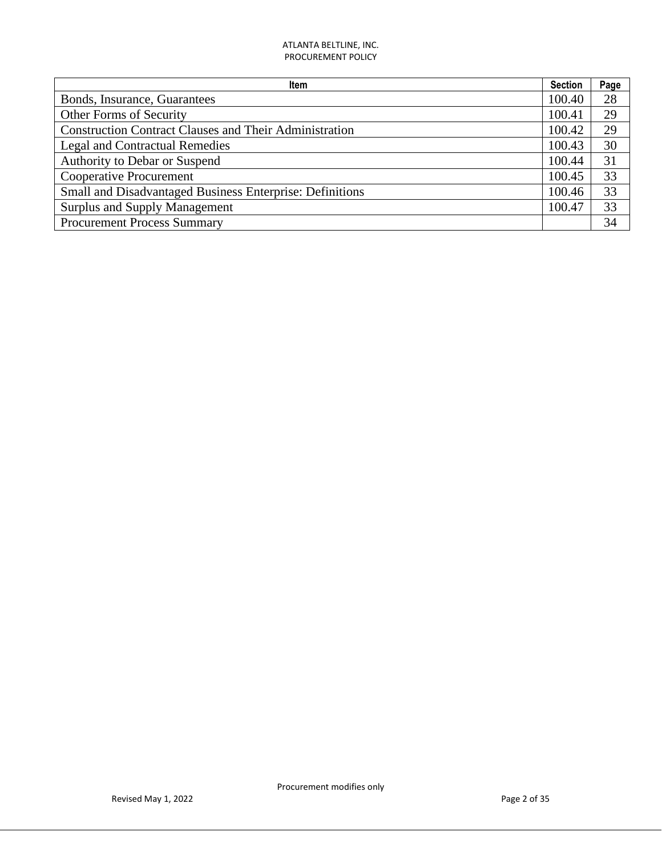| Item                                                          | <b>Section</b> | Page |
|---------------------------------------------------------------|----------------|------|
| Bonds, Insurance, Guarantees                                  | 100.40         | 28   |
| Other Forms of Security                                       | 100.41         | 29   |
| <b>Construction Contract Clauses and Their Administration</b> | 100.42         | 29   |
| <b>Legal and Contractual Remedies</b>                         | 100.43         | 30   |
| Authority to Debar or Suspend                                 | 100.44         | 31   |
| <b>Cooperative Procurement</b>                                | 100.45         | 33   |
| Small and Disadvantaged Business Enterprise: Definitions      | 100.46         | 33   |
| <b>Surplus and Supply Management</b>                          | 100.47         | 33   |
| <b>Procurement Process Summary</b>                            |                | 34   |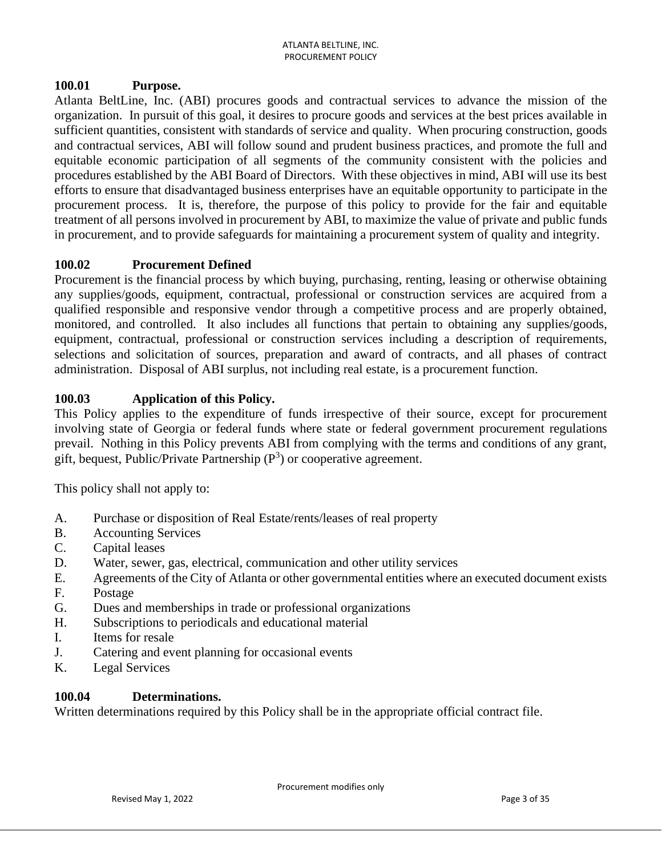#### **100.01 Purpose.**

Atlanta BeltLine, Inc. (ABI) procures goods and contractual services to advance the mission of the organization. In pursuit of this goal, it desires to procure goods and services at the best prices available in sufficient quantities, consistent with standards of service and quality. When procuring construction, goods and contractual services, ABI will follow sound and prudent business practices, and promote the full and equitable economic participation of all segments of the community consistent with the policies and procedures established by the ABI Board of Directors. With these objectives in mind, ABI will use its best efforts to ensure that disadvantaged business enterprises have an equitable opportunity to participate in the procurement process. It is, therefore, the purpose of this policy to provide for the fair and equitable treatment of all persons involved in procurement by ABI, to maximize the value of private and public funds in procurement, and to provide safeguards for maintaining a procurement system of quality and integrity.

## **100.02 Procurement Defined**

Procurement is the financial process by which buying, purchasing, renting, leasing or otherwise obtaining any supplies/goods, equipment, contractual, professional or construction services are acquired from a qualified responsible and responsive vendor through a competitive process and are properly obtained, monitored, and controlled. It also includes all functions that pertain to obtaining any supplies/goods, equipment, contractual, professional or construction services including a description of requirements, selections and solicitation of sources, preparation and award of contracts, and all phases of contract administration. Disposal of ABI surplus, not including real estate, is a procurement function.

## **100.03 Application of this Policy.**

This Policy applies to the expenditure of funds irrespective of their source, except for procurement involving state of Georgia or federal funds where state or federal government procurement regulations prevail. Nothing in this Policy prevents ABI from complying with the terms and conditions of any grant, gift, bequest, Public/Private Partnership  $(P^3)$  or cooperative agreement.

This policy shall not apply to:

- A. Purchase or disposition of Real Estate/rents/leases of real property
- B. Accounting Services
- C. Capital leases
- D. Water, sewer, gas, electrical, communication and other utility services
- E. Agreements of the City of Atlanta or other governmental entities where an executed document exists

Procurement modifies only

- F. Postage
- G. Dues and memberships in trade or professional organizations
- H. Subscriptions to periodicals and educational material
- I. Items for resale
- J. Catering and event planning for occasional events
- K. Legal Services

#### **100.04 Determinations.**

Written determinations required by this Policy shall be in the appropriate official contract file.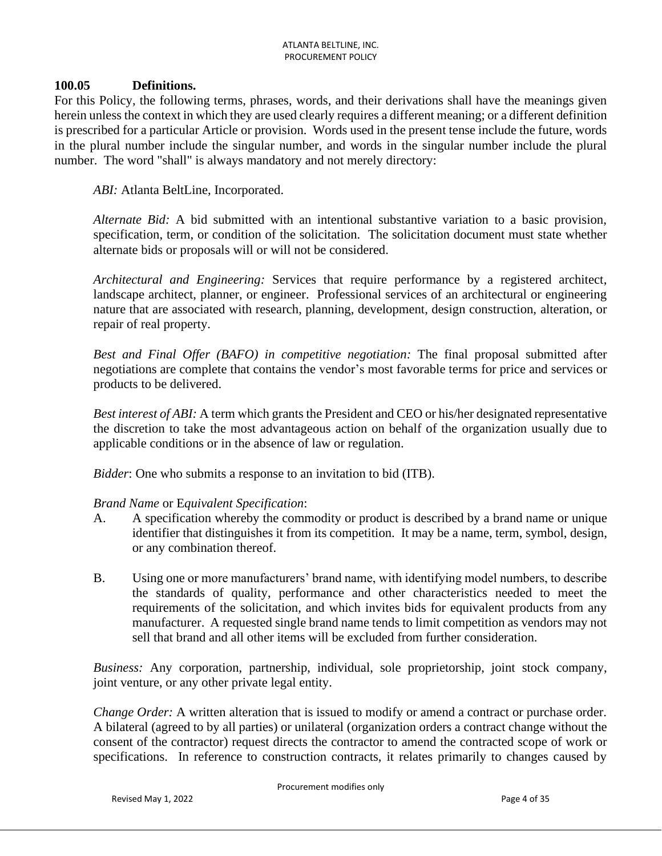#### **100.05 Definitions.**

For this Policy, the following terms, phrases, words, and their derivations shall have the meanings given herein unless the context in which they are used clearly requires a different meaning; or a different definition is prescribed for a particular Article or provision. Words used in the present tense include the future, words in the plural number include the singular number, and words in the singular number include the plural number. The word "shall" is always mandatory and not merely directory:

*ABI:* Atlanta BeltLine, Incorporated.

*Alternate Bid:* A bid submitted with an intentional substantive variation to a basic provision, specification, term, or condition of the solicitation. The solicitation document must state whether alternate bids or proposals will or will not be considered.

*Architectural and Engineering:* Services that require performance by a registered architect, landscape architect, planner, or engineer. Professional services of an architectural or engineering nature that are associated with research, planning, development, design construction, alteration, or repair of real property.

*Best and Final Offer (BAFO) in competitive negotiation:* The final proposal submitted after negotiations are complete that contains the vendor's most favorable terms for price and services or products to be delivered.

*Best interest of ABI:* A term which grants the President and CEO or his/her designated representative the discretion to take the most advantageous action on behalf of the organization usually due to applicable conditions or in the absence of law or regulation.

*Bidder*: One who submits a response to an invitation to bid (ITB).

#### *Brand Name* or E*quivalent Specification*:

- A. A specification whereby the commodity or product is described by a brand name or unique identifier that distinguishes it from its competition. It may be a name, term, symbol, design, or any combination thereof.
- B. Using one or more manufacturers' brand name, with identifying model numbers, to describe the standards of quality, performance and other characteristics needed to meet the requirements of the solicitation, and which invites bids for equivalent products from any manufacturer. A requested single brand name tends to limit competition as vendors may not sell that brand and all other items will be excluded from further consideration.

*Business:* Any corporation, partnership, individual, sole proprietorship, joint stock company, joint venture, or any other private legal entity.

*Change Order:* A written alteration that is issued to modify or amend a contract or purchase order. A bilateral (agreed to by all parties) or unilateral (organization orders a contract change without the consent of the contractor) request directs the contractor to amend the contracted scope of work or specifications. In reference to construction contracts, it relates primarily to changes caused by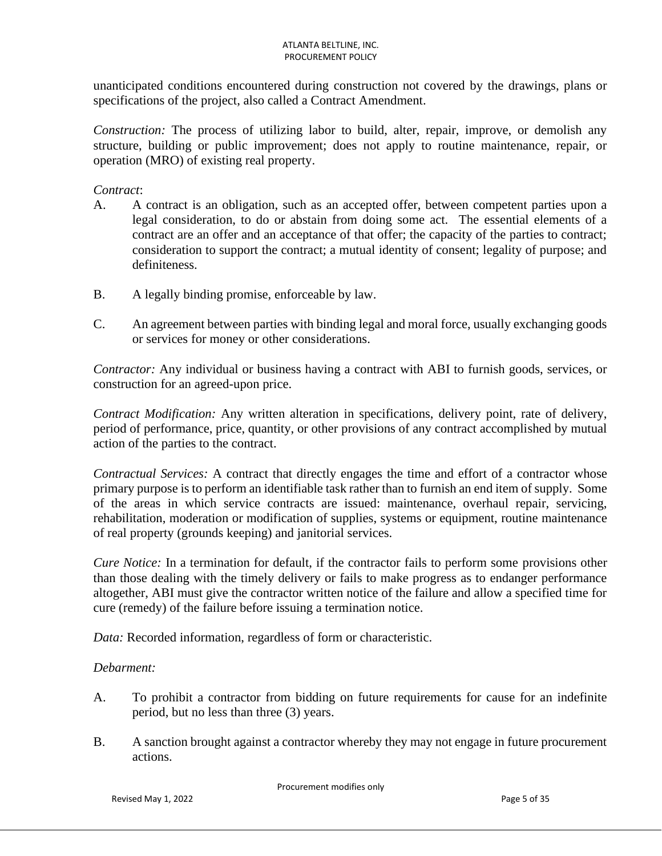unanticipated conditions encountered during construction not covered by the drawings, plans or specifications of the project, also called a Contract Amendment.

*Construction:* The process of utilizing labor to build, alter, repair, improve, or demolish any structure, building or public improvement; does not apply to routine maintenance, repair, or operation (MRO) of existing real property.

#### *Contract*:

- A. A contract is an obligation, such as an accepted offer, between competent parties upon a legal consideration, to do or abstain from doing some act. The essential elements of a contract are an offer and an acceptance of that offer; the capacity of the parties to contract; consideration to support the contract; a mutual identity of consent; legality of purpose; and definiteness.
- B. A legally binding promise, enforceable by law.
- C. An agreement between parties with binding legal and moral force, usually exchanging goods or services for money or other considerations.

 *Contractor:* Any individual or business having a contract with ABI to furnish goods, services, or construction for an agreed-upon price.

*Contract Modification:* Any written alteration in specifications, delivery point, rate of delivery, period of performance, price, quantity, or other provisions of any contract accomplished by mutual action of the parties to the contract.

*Contractual Services:* A contract that directly engages the time and effort of a contractor whose primary purpose is to perform an identifiable task rather than to furnish an end item of supply. Some of the areas in which service contracts are issued: maintenance, overhaul repair, servicing, rehabilitation, moderation or modification of supplies, systems or equipment, routine maintenance of real property (grounds keeping) and janitorial services.

*Cure Notice:* In a termination for default, if the contractor fails to perform some provisions other than those dealing with the timely delivery or fails to make progress as to endanger performance altogether, ABI must give the contractor written notice of the failure and allow a specified time for cure (remedy) of the failure before issuing a termination notice.

*Data:* Recorded information, regardless of form or characteristic.

#### *Debarment:*

- A. To prohibit a contractor from bidding on future requirements for cause for an indefinite period, but no less than three (3) years.
- B. A sanction brought against a contractor whereby they may not engage in future procurement actions.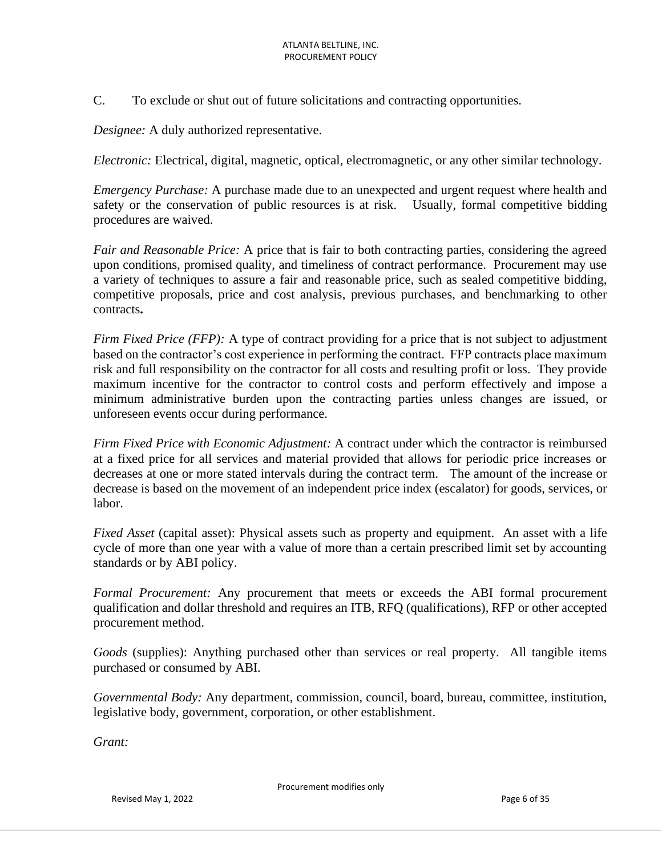C. To exclude or shut out of future solicitations and contracting opportunities.

*Designee:* A duly authorized representative.

*Electronic:* Electrical, digital, magnetic, optical, electromagnetic, or any other similar technology.

*Emergency Purchase:* A purchase made due to an unexpected and urgent request where health and safety or the conservation of public resources is at risk. Usually, formal competitive bidding procedures are waived.

*Fair and Reasonable Price:* A price that is fair to both contracting parties, considering the agreed upon conditions, promised quality, and timeliness of contract performance. Procurement may use a variety of techniques to assure a fair and reasonable price, such as sealed competitive bidding, competitive proposals, price and cost analysis, previous purchases, and benchmarking to other contracts**.**

*Firm Fixed Price (FFP):* A type of contract providing for a price that is not subject to adjustment based on the contractor's cost experience in performing the contract. FFP contracts place maximum risk and full responsibility on the contractor for all costs and resulting profit or loss. They provide maximum incentive for the contractor to control costs and perform effectively and impose a minimum administrative burden upon the contracting parties unless changes are issued, or unforeseen events occur during performance.

*Firm Fixed Price with Economic Adjustment:* A contract under which the contractor is reimbursed at a fixed price for all services and material provided that allows for periodic price increases or decreases at one or more stated intervals during the contract term. The amount of the increase or decrease is based on the movement of an independent price index (escalator) for goods, services, or labor.

*Fixed Asset* (capital asset): Physical assets such as property and equipment. An asset with a life cycle of more than one year with a value of more than a certain prescribed limit set by accounting standards or by ABI policy.

*Formal Procurement:* Any procurement that meets or exceeds the ABI formal procurement qualification and dollar threshold and requires an ITB, RFQ (qualifications), RFP or other accepted procurement method.

*Goods* (supplies): Anything purchased other than services or real property. All tangible items purchased or consumed by ABI.

*Governmental Body:* Any department, commission, council, board, bureau, committee, institution, legislative body, government, corporation, or other establishment.

*Grant:*

Procurement modifies only

Revised May 1, 2022 **Page 6 of 35** Page 6 of 35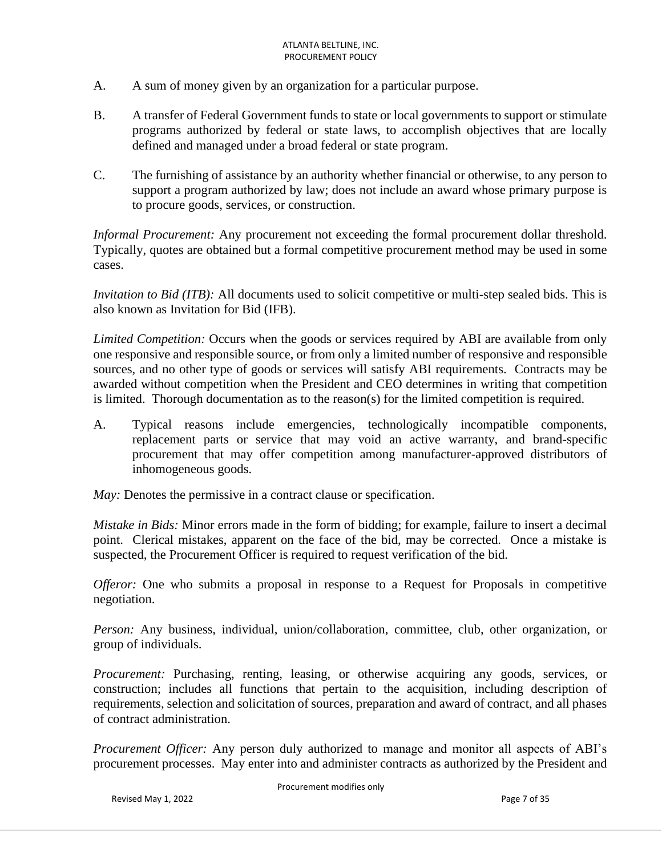- A. A sum of money given by an organization for a particular purpose.
- B. A transfer of Federal Government funds to state or local governments to support or stimulate programs authorized by federal or state laws, to accomplish objectives that are locally defined and managed under a broad federal or state program.
- C. The furnishing of assistance by an authority whether financial or otherwise, to any person to support a program authorized by law; does not include an award whose primary purpose is to procure goods, services, or construction.

*Informal Procurement:* Any procurement not exceeding the formal procurement dollar threshold. Typically, quotes are obtained but a formal competitive procurement method may be used in some cases.

*Invitation to Bid (ITB):* All documents used to solicit competitive or multi-step sealed bids. This is also known as Invitation for Bid (IFB).

*Limited Competition:* Occurs when the goods or services required by ABI are available from only one responsive and responsible source, or from only a limited number of responsive and responsible sources, and no other type of goods or services will satisfy ABI requirements. Contracts may be awarded without competition when the President and CEO determines in writing that competition is limited. Thorough documentation as to the reason(s) for the limited competition is required.

A. Typical reasons include emergencies, technologically incompatible components, replacement parts or service that may void an active warranty, and brand-specific procurement that may offer competition among manufacturer-approved distributors of inhomogeneous goods.

*May:* Denotes the permissive in a contract clause or specification.

*Mistake in Bids:* Minor errors made in the form of bidding; for example, failure to insert a decimal point. Clerical mistakes, apparent on the face of the bid, may be corrected. Once a mistake is suspected, the Procurement Officer is required to request verification of the bid.

*Offeror:* One who submits a proposal in response to a Request for Proposals in competitive negotiation.

*Person:* Any business, individual, union/collaboration, committee, club, other organization, or group of individuals.

*Procurement:* Purchasing, renting, leasing, or otherwise acquiring any goods, services, or construction; includes all functions that pertain to the acquisition, including description of requirements, selection and solicitation of sources, preparation and award of contract, and all phases of contract administration.

*Procurement Officer:* Any person duly authorized to manage and monitor all aspects of ABI's procurement processes. May enter into and administer contracts as authorized by the President and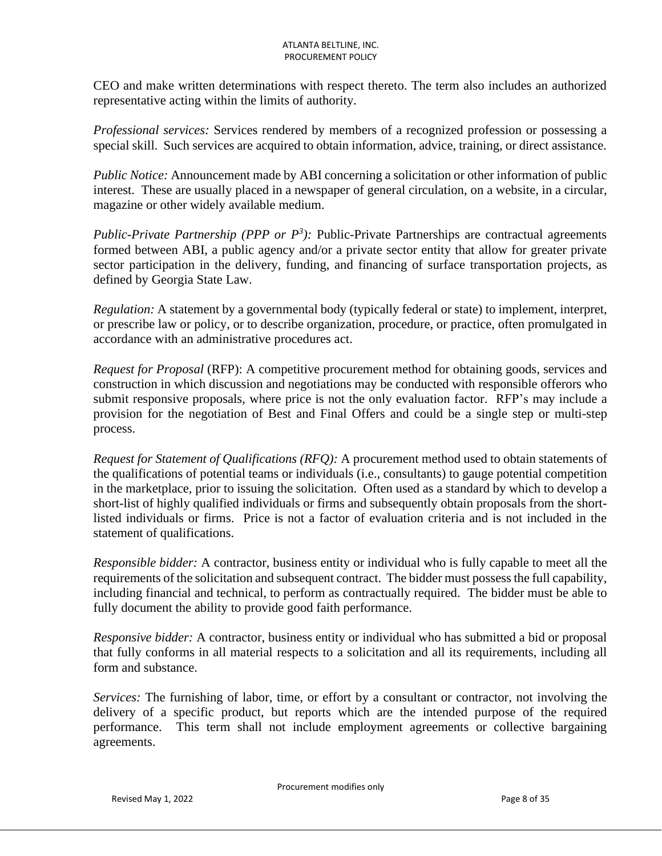CEO and make written determinations with respect thereto. The term also includes an authorized representative acting within the limits of authority.

 *Professional services:* Services rendered by members of a recognized profession or possessing a special skill. Such services are acquired to obtain information, advice, training, or direct assistance.

*Public Notice:* Announcement made by ABI concerning a solicitation or other information of public interest. These are usually placed in a newspaper of general circulation, on a website, in a circular, magazine or other widely available medium.

*Public-Private Partnership (PPP or*  $P^3$ *):* Public-Private Partnerships are contractual agreements formed between ABI, a public agency and/or a private sector entity that allow for greater private sector participation in the delivery, funding, and financing of surface transportation projects, as defined by Georgia State Law.

*Regulation:* A statement by a governmental body (typically federal or state) to implement, interpret, or prescribe law or policy, or to describe organization, procedure, or practice, often promulgated in accordance with an administrative procedures act.

*Request for Proposal* (RFP): A competitive procurement method for obtaining goods, services and construction in which discussion and negotiations may be conducted with responsible offerors who submit responsive proposals, where price is not the only evaluation factor. RFP's may include a provision for the negotiation of Best and Final Offers and could be a single step or multi-step process.

*Request for Statement of Qualifications (RFQ):* A procurement method used to obtain statements of the qualifications of potential teams or individuals (i.e., consultants) to gauge potential competition in the marketplace, prior to issuing the solicitation. Often used as a standard by which to develop a short-list of highly qualified individuals or firms and subsequently obtain proposals from the shortlisted individuals or firms. Price is not a factor of evaluation criteria and is not included in the statement of qualifications.

*Responsible bidder:* A contractor, business entity or individual who is fully capable to meet all the requirements of the solicitation and subsequent contract. The bidder must possess the full capability, including financial and technical, to perform as contractually required. The bidder must be able to fully document the ability to provide good faith performance.

*Responsive bidder:* A contractor, business entity or individual who has submitted a bid or proposal that fully conforms in all material respects to a solicitation and all its requirements, including all form and substance.

*Services:* The furnishing of labor, time, or effort by a consultant or contractor, not involving the delivery of a specific product, but reports which are the intended purpose of the required performance. This term shall not include employment agreements or collective bargaining agreements.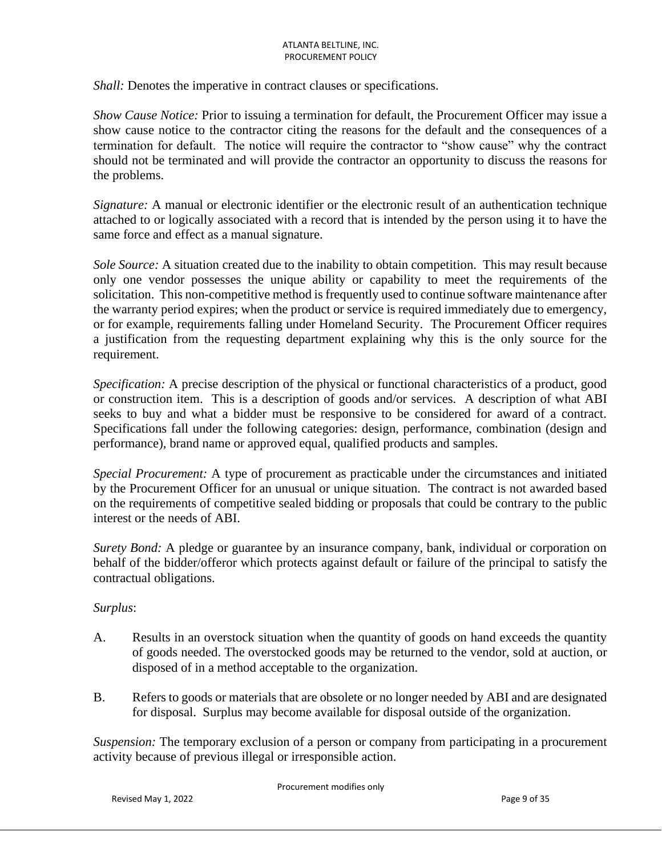*Shall:* Denotes the imperative in contract clauses or specifications.

*Show Cause Notice:* Prior to issuing a termination for default, the Procurement Officer may issue a show cause notice to the contractor citing the reasons for the default and the consequences of a termination for default. The notice will require the contractor to "show cause" why the contract should not be terminated and will provide the contractor an opportunity to discuss the reasons for the problems.

*Signature:* A manual or electronic identifier or the electronic result of an authentication technique attached to or logically associated with a record that is intended by the person using it to have the same force and effect as a manual signature.

*Sole Source:* A situation created due to the inability to obtain competition. This may result because only one vendor possesses the unique ability or capability to meet the requirements of the solicitation. This non-competitive method is frequently used to continue software maintenance after the warranty period expires; when the product or service is required immediately due to emergency, or for example, requirements falling under Homeland Security. The Procurement Officer requires a justification from the requesting department explaining why this is the only source for the requirement.

*Specification:* A precise description of the physical or functional characteristics of a product, good or construction item. This is a description of goods and/or services. A description of what ABI seeks to buy and what a bidder must be responsive to be considered for award of a contract. Specifications fall under the following categories: design, performance, combination (design and performance), brand name or approved equal, qualified products and samples.

*Special Procurement:* A type of procurement as practicable under the circumstances and initiated by the Procurement Officer for an unusual or unique situation. The contract is not awarded based on the requirements of competitive sealed bidding or proposals that could be contrary to the public interest or the needs of ABI.

*Surety Bond:* A pledge or guarantee by an insurance company, bank, individual or corporation on behalf of the bidder/offeror which protects against default or failure of the principal to satisfy the contractual obligations.

#### *Surplus*:

- A. Results in an overstock situation when the quantity of goods on hand exceeds the quantity of goods needed. The overstocked goods may be returned to the vendor, sold at auction, or disposed of in a method acceptable to the organization.
- B. Refers to goods or materials that are obsolete or no longer needed by ABI and are designated for disposal. Surplus may become available for disposal outside of the organization.

*Suspension:* The temporary exclusion of a person or company from participating in a procurement activity because of previous illegal or irresponsible action.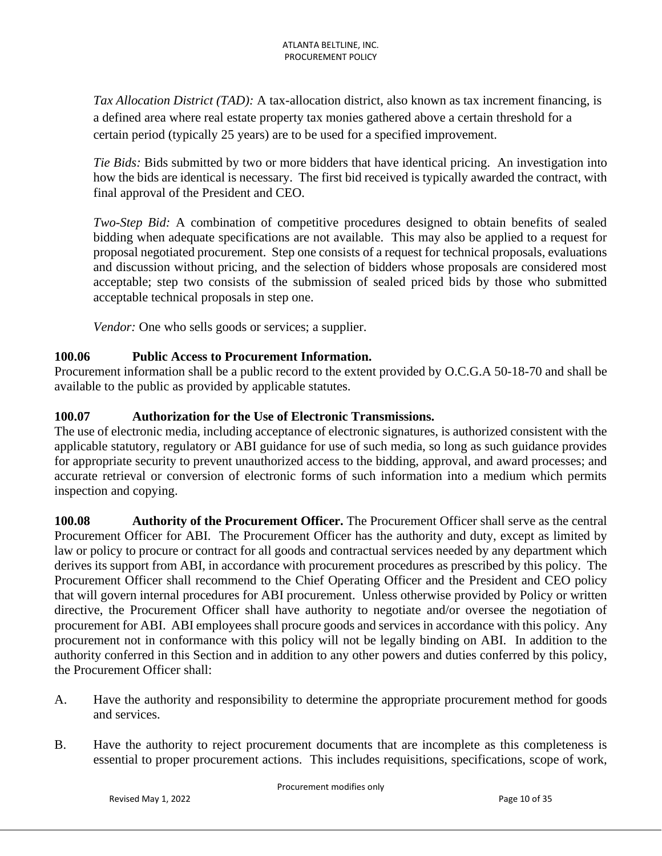*Tax Allocation District (TAD):* A tax-allocation district, also known as tax increment financing, is a defined area where real estate property tax monies gathered above a certain threshold for a certain period (typically 25 years) are to be used for a specified improvement.

*Tie Bids:* Bids submitted by two or more bidders that have identical pricing. An investigation into how the bids are identical is necessary. The first bid received is typically awarded the contract, with final approval of the President and CEO.

*Two-Step Bid:* A combination of competitive procedures designed to obtain benefits of sealed bidding when adequate specifications are not available. This may also be applied to a request for proposal negotiated procurement. Step one consists of a request for technical proposals, evaluations and discussion without pricing, and the selection of bidders whose proposals are considered most acceptable; step two consists of the submission of sealed priced bids by those who submitted acceptable technical proposals in step one.

*Vendor:* One who sells goods or services; a supplier.

### **100.06 Public Access to Procurement Information.**

Procurement information shall be a public record to the extent provided by O.C.G.A 50-18-70 and shall be available to the public as provided by applicable statutes.

### **100.07 Authorization for the Use of Electronic Transmissions.**

The use of electronic media, including acceptance of electronic signatures, is authorized consistent with the applicable statutory, regulatory or ABI guidance for use of such media, so long as such guidance provides for appropriate security to prevent unauthorized access to the bidding, approval, and award processes; and accurate retrieval or conversion of electronic forms of such information into a medium which permits inspection and copying.

**100.08 Authority of the Procurement Officer.** The Procurement Officer shall serve as the central Procurement Officer for ABI. The Procurement Officer has the authority and duty, except as limited by law or policy to procure or contract for all goods and contractual services needed by any department which derives its support from ABI, in accordance with procurement procedures as prescribed by this policy. The Procurement Officer shall recommend to the Chief Operating Officer and the President and CEO policy that will govern internal procedures for ABI procurement. Unless otherwise provided by Policy or written directive, the Procurement Officer shall have authority to negotiate and/or oversee the negotiation of procurement for ABI. ABI employees shall procure goods and services in accordance with this policy. Any procurement not in conformance with this policy will not be legally binding on ABI. In addition to the authority conferred in this Section and in addition to any other powers and duties conferred by this policy, the Procurement Officer shall:

- A. Have the authority and responsibility to determine the appropriate procurement method for goods and services.
- B. Have the authority to reject procurement documents that are incomplete as this completeness is essential to proper procurement actions. This includes requisitions, specifications, scope of work,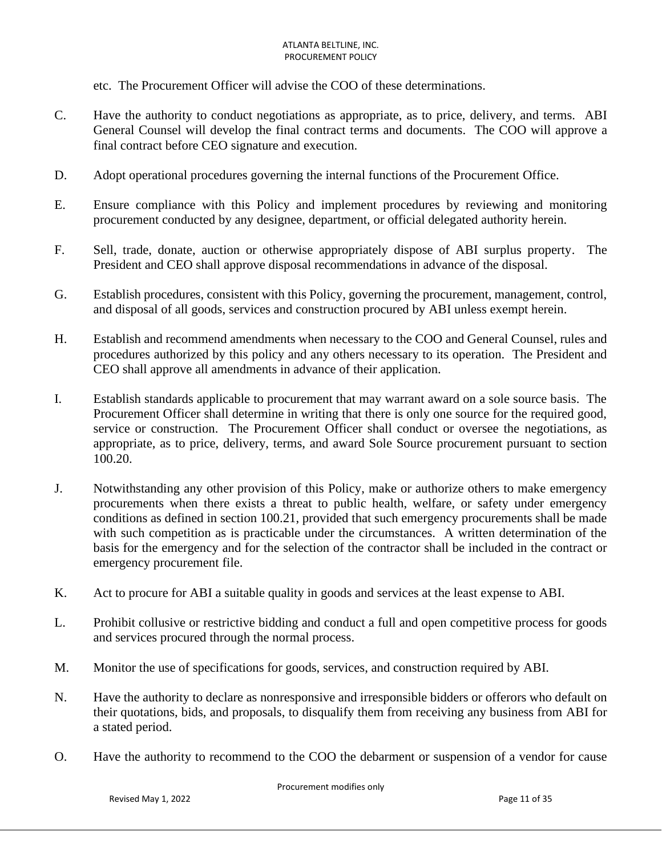etc. The Procurement Officer will advise the COO of these determinations.

- C. Have the authority to conduct negotiations as appropriate, as to price, delivery, and terms. ABI General Counsel will develop the final contract terms and documents. The COO will approve a final contract before CEO signature and execution.
- D. Adopt operational procedures governing the internal functions of the Procurement Office.
- E. Ensure compliance with this Policy and implement procedures by reviewing and monitoring procurement conducted by any designee, department, or official delegated authority herein.
- F. Sell, trade, donate, auction or otherwise appropriately dispose of ABI surplus property. The President and CEO shall approve disposal recommendations in advance of the disposal.
- G. Establish procedures, consistent with this Policy, governing the procurement, management, control, and disposal of all goods, services and construction procured by ABI unless exempt herein.
- H. Establish and recommend amendments when necessary to the COO and General Counsel, rules and procedures authorized by this policy and any others necessary to its operation. The President and CEO shall approve all amendments in advance of their application.
- I. Establish standards applicable to procurement that may warrant award on a sole source basis. The Procurement Officer shall determine in writing that there is only one source for the required good, service or construction. The Procurement Officer shall conduct or oversee the negotiations, as appropriate, as to price, delivery, terms, and award Sole Source procurement pursuant to section 100.20.
- J. Notwithstanding any other provision of this Policy, make or authorize others to make emergency procurements when there exists a threat to public health, welfare, or safety under emergency conditions as defined in section 100.21, provided that such emergency procurements shall be made with such competition as is practicable under the circumstances. A written determination of the basis for the emergency and for the selection of the contractor shall be included in the contract or emergency procurement file.
- K. Act to procure for ABI a suitable quality in goods and services at the least expense to ABI.
- L. Prohibit collusive or restrictive bidding and conduct a full and open competitive process for goods and services procured through the normal process.
- M. Monitor the use of specifications for goods, services, and construction required by ABI.
- N. Have the authority to declare as nonresponsive and irresponsible bidders or offerors who default on their quotations, bids, and proposals, to disqualify them from receiving any business from ABI for a stated period.
- O. Have the authority to recommend to the COO the debarment or suspension of a vendor for cause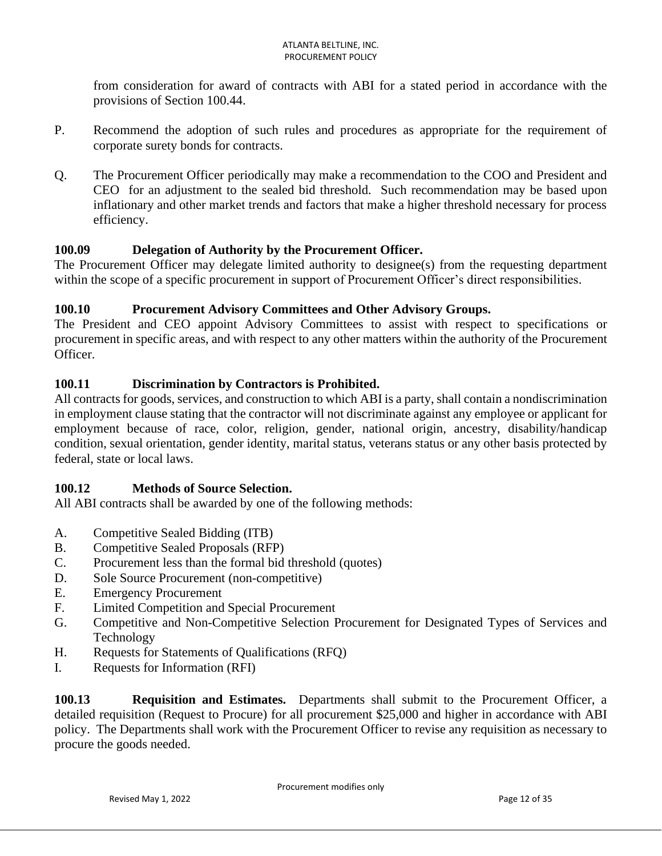from consideration for award of contracts with ABI for a stated period in accordance with the provisions of Section 100.44.

- P. Recommend the adoption of such rules and procedures as appropriate for the requirement of corporate surety bonds for contracts.
- Q. The Procurement Officer periodically may make a recommendation to the COO and President and CEO for an adjustment to the sealed bid threshold. Such recommendation may be based upon inflationary and other market trends and factors that make a higher threshold necessary for process efficiency.

# **100.09 Delegation of Authority by the Procurement Officer.**

The Procurement Officer may delegate limited authority to designee(s) from the requesting department within the scope of a specific procurement in support of Procurement Officer's direct responsibilities.

## **100.10 Procurement Advisory Committees and Other Advisory Groups.**

The President and CEO appoint Advisory Committees to assist with respect to specifications or procurement in specific areas, and with respect to any other matters within the authority of the Procurement Officer.

# **100.11 Discrimination by Contractors is Prohibited.**

All contracts for goods, services, and construction to which ABI is a party, shall contain a nondiscrimination in employment clause stating that the contractor will not discriminate against any employee or applicant for employment because of race, color, religion, gender, national origin, ancestry, disability/handicap condition, sexual orientation, gender identity, marital status, veterans status or any other basis protected by federal, state or local laws.

## **100.12 Methods of Source Selection.**

All ABI contracts shall be awarded by one of the following methods:

- A. Competitive Sealed Bidding (ITB)
- B. Competitive Sealed Proposals (RFP)
- C. Procurement less than the formal bid threshold (quotes)
- D. Sole Source Procurement (non-competitive)
- E. Emergency Procurement
- F. Limited Competition and Special Procurement
- G. Competitive and Non-Competitive Selection Procurement for Designated Types of Services and Technology
- H. Requests for Statements of Qualifications (RFQ)
- I. Requests for Information (RFI)

**100.13 Requisition and Estimates.** Departments shall submit to the Procurement Officer, a detailed requisition (Request to Procure) for all procurement \$25,000 and higher in accordance with ABI policy. The Departments shall work with the Procurement Officer to revise any requisition as necessary to procure the goods needed.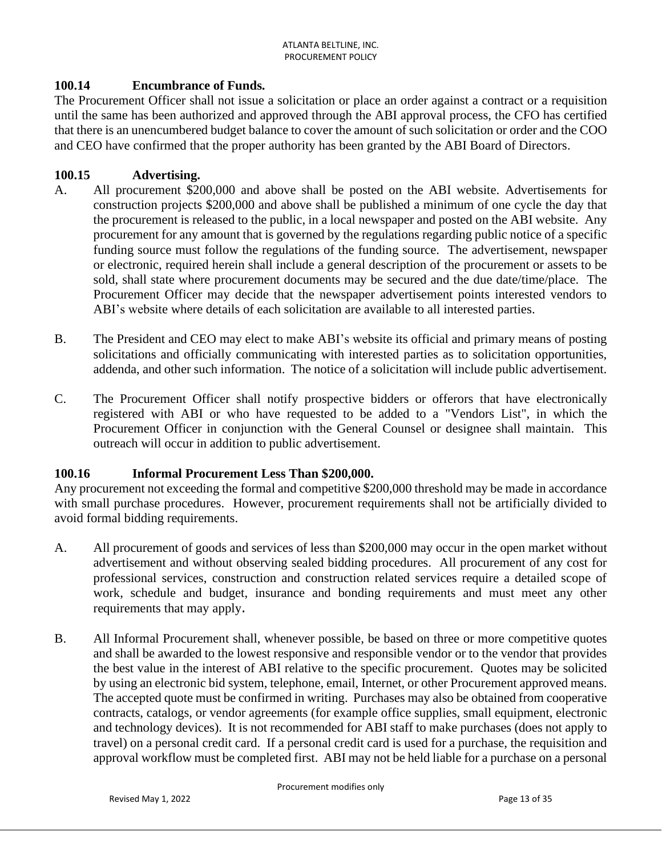### **100.14 Encumbrance of Funds.**

The Procurement Officer shall not issue a solicitation or place an order against a contract or a requisition until the same has been authorized and approved through the ABI approval process, the CFO has certified that there is an unencumbered budget balance to cover the amount of such solicitation or order and the COO and CEO have confirmed that the proper authority has been granted by the ABI Board of Directors.

#### **100.15 Advertising.**

- A. All procurement \$200,000 and above shall be posted on the ABI website. Advertisements for construction projects \$200,000 and above shall be published a minimum of one cycle the day that the procurement is released to the public, in a local newspaper and posted on the ABI website. Any procurement for any amount that is governed by the regulations regarding public notice of a specific funding source must follow the regulations of the funding source. The advertisement, newspaper or electronic, required herein shall include a general description of the procurement or assets to be sold, shall state where procurement documents may be secured and the due date/time/place. The Procurement Officer may decide that the newspaper advertisement points interested vendors to ABI's website where details of each solicitation are available to all interested parties.
- B. The President and CEO may elect to make ABI's website its official and primary means of posting solicitations and officially communicating with interested parties as to solicitation opportunities, addenda, and other such information. The notice of a solicitation will include public advertisement.
- C. The Procurement Officer shall notify prospective bidders or offerors that have electronically registered with ABI or who have requested to be added to a "Vendors List", in which the Procurement Officer in conjunction with the General Counsel or designee shall maintain. This outreach will occur in addition to public advertisement.

#### **100.16 Informal Procurement Less Than \$200,000.**

Any procurement not exceeding the formal and competitive \$200,000 threshold may be made in accordance with small purchase procedures. However, procurement requirements shall not be artificially divided to avoid formal bidding requirements.

- A. All procurement of goods and services of less than \$200,000 may occur in the open market without advertisement and without observing sealed bidding procedures. All procurement of any cost for professional services, construction and construction related services require a detailed scope of work, schedule and budget, insurance and bonding requirements and must meet any other requirements that may apply.
- B. All Informal Procurement shall, whenever possible, be based on three or more competitive quotes and shall be awarded to the lowest responsive and responsible vendor or to the vendor that provides the best value in the interest of ABI relative to the specific procurement. Quotes may be solicited by using an electronic bid system, telephone, email, Internet, or other Procurement approved means. The accepted quote must be confirmed in writing. Purchases may also be obtained from cooperative contracts, catalogs, or vendor agreements (for example office supplies, small equipment, electronic and technology devices). It is not recommended for ABI staff to make purchases (does not apply to travel) on a personal credit card. If a personal credit card is used for a purchase, the requisition and approval workflow must be completed first. ABI may not be held liable for a purchase on a personal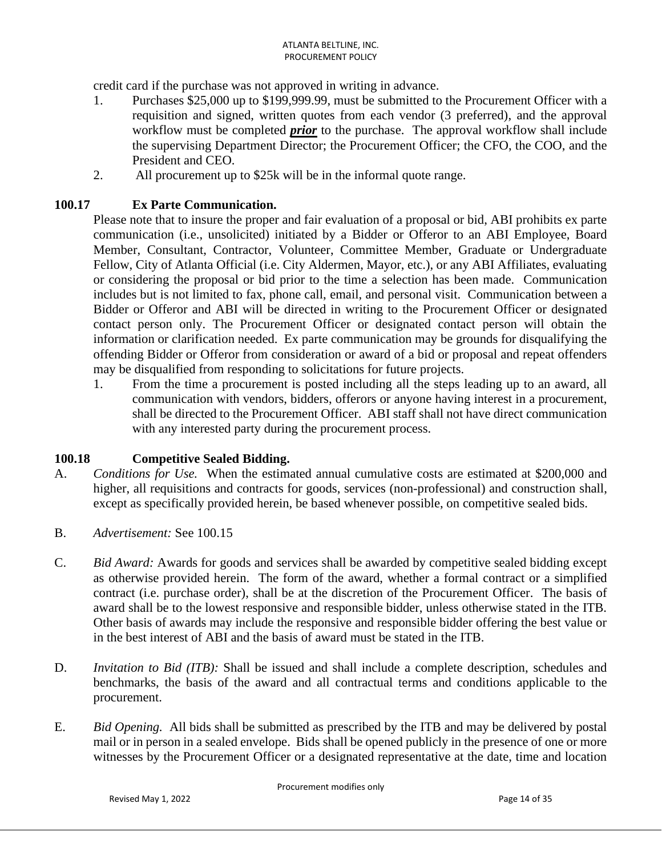credit card if the purchase was not approved in writing in advance.

- 1. Purchases \$25,000 up to \$199,999.99, must be submitted to the Procurement Officer with a requisition and signed, written quotes from each vendor (3 preferred), and the approval workflow must be completed *prior* to the purchase. The approval workflow shall include the supervising Department Director; the Procurement Officer; the CFO, the COO, and the President and CEO.
- 2. All procurement up to \$25k will be in the informal quote range.

#### **100.17 Ex Parte Communication.**

Please note that to insure the proper and fair evaluation of a proposal or bid, ABI prohibits ex parte communication (i.e., unsolicited) initiated by a Bidder or Offeror to an ABI Employee, Board Member, Consultant, Contractor, Volunteer, Committee Member, Graduate or Undergraduate Fellow, City of Atlanta Official (i.e. City Aldermen, Mayor, etc.), or any ABI Affiliates, evaluating or considering the proposal or bid prior to the time a selection has been made. Communication includes but is not limited to fax, phone call, email, and personal visit. Communication between a Bidder or Offeror and ABI will be directed in writing to the Procurement Officer or designated contact person only. The Procurement Officer or designated contact person will obtain the information or clarification needed. Ex parte communication may be grounds for disqualifying the offending Bidder or Offeror from consideration or award of a bid or proposal and repeat offenders may be disqualified from responding to solicitations for future projects.

1. From the time a procurement is posted including all the steps leading up to an award, all communication with vendors, bidders, offerors or anyone having interest in a procurement, shall be directed to the Procurement Officer. ABI staff shall not have direct communication with any interested party during the procurement process.

#### **100.18 Competitive Sealed Bidding.**

- A. *Conditions for Use.* When the estimated annual cumulative costs are estimated at \$200,000 and higher, all requisitions and contracts for goods, services (non-professional) and construction shall, except as specifically provided herein, be based whenever possible, on competitive sealed bids.
- B. *Advertisement:* See 100.15
- C. *Bid Award:* Awards for goods and services shall be awarded by competitive sealed bidding except as otherwise provided herein. The form of the award, whether a formal contract or a simplified contract (i.e. purchase order), shall be at the discretion of the Procurement Officer. The basis of award shall be to the lowest responsive and responsible bidder, unless otherwise stated in the ITB. Other basis of awards may include the responsive and responsible bidder offering the best value or in the best interest of ABI and the basis of award must be stated in the ITB.
- D. *Invitation to Bid (ITB):* Shall be issued and shall include a complete description, schedules and benchmarks, the basis of the award and all contractual terms and conditions applicable to the procurement.
- E. *Bid Opening.* All bids shall be submitted as prescribed by the ITB and may be delivered by postal mail or in person in a sealed envelope. Bids shall be opened publicly in the presence of one or more witnesses by the Procurement Officer or a designated representative at the date, time and location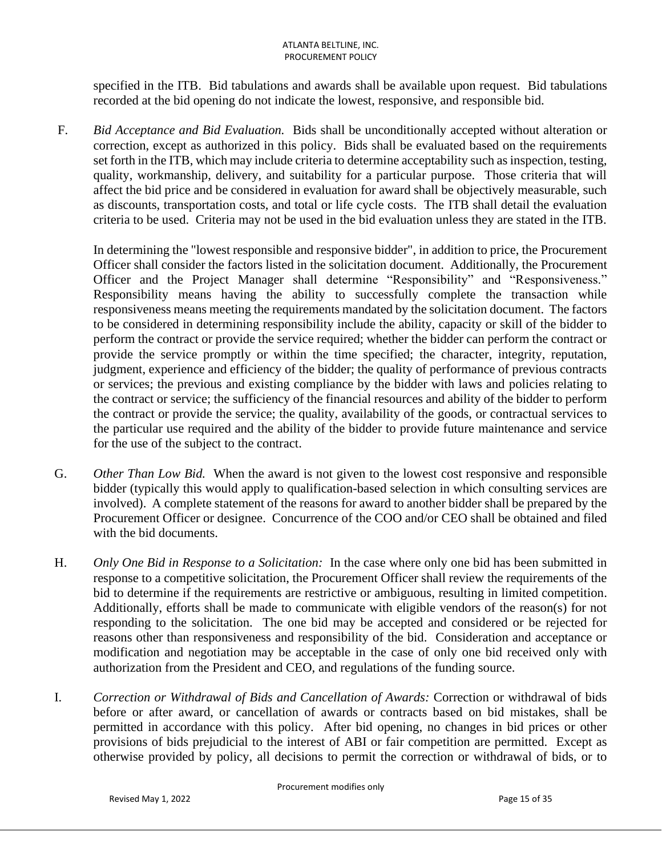specified in the ITB. Bid tabulations and awards shall be available upon request. Bid tabulations recorded at the bid opening do not indicate the lowest, responsive, and responsible bid.

F. *Bid Acceptance and Bid Evaluation.* Bids shall be unconditionally accepted without alteration or correction, except as authorized in this policy. Bids shall be evaluated based on the requirements set forth in the ITB, which may include criteria to determine acceptability such as inspection, testing, quality, workmanship, delivery, and suitability for a particular purpose. Those criteria that will affect the bid price and be considered in evaluation for award shall be objectively measurable, such as discounts, transportation costs, and total or life cycle costs. The ITB shall detail the evaluation criteria to be used. Criteria may not be used in the bid evaluation unless they are stated in the ITB.

In determining the "lowest responsible and responsive bidder", in addition to price, the Procurement Officer shall consider the factors listed in the solicitation document. Additionally, the Procurement Officer and the Project Manager shall determine "Responsibility" and "Responsiveness." Responsibility means having the ability to successfully complete the transaction while responsiveness means meeting the requirements mandated by the solicitation document. The factors to be considered in determining responsibility include the ability, capacity or skill of the bidder to perform the contract or provide the service required; whether the bidder can perform the contract or provide the service promptly or within the time specified; the character, integrity, reputation, judgment, experience and efficiency of the bidder; the quality of performance of previous contracts or services; the previous and existing compliance by the bidder with laws and policies relating to the contract or service; the sufficiency of the financial resources and ability of the bidder to perform the contract or provide the service; the quality, availability of the goods, or contractual services to the particular use required and the ability of the bidder to provide future maintenance and service for the use of the subject to the contract.

- G. *Other Than Low Bid.* When the award is not given to the lowest cost responsive and responsible bidder (typically this would apply to qualification-based selection in which consulting services are involved). A complete statement of the reasons for award to another bidder shall be prepared by the Procurement Officer or designee. Concurrence of the COO and/or CEO shall be obtained and filed with the bid documents.
- H. *Only One Bid in Response to a Solicitation:* In the case where only one bid has been submitted in response to a competitive solicitation, the Procurement Officer shall review the requirements of the bid to determine if the requirements are restrictive or ambiguous, resulting in limited competition. Additionally, efforts shall be made to communicate with eligible vendors of the reason(s) for not responding to the solicitation. The one bid may be accepted and considered or be rejected for reasons other than responsiveness and responsibility of the bid. Consideration and acceptance or modification and negotiation may be acceptable in the case of only one bid received only with authorization from the President and CEO, and regulations of the funding source.
- I. *Correction or Withdrawal of Bids and Cancellation of Awards:* Correction or withdrawal of bids before or after award, or cancellation of awards or contracts based on bid mistakes, shall be permitted in accordance with this policy. After bid opening, no changes in bid prices or other provisions of bids prejudicial to the interest of ABI or fair competition are permitted. Except as otherwise provided by policy, all decisions to permit the correction or withdrawal of bids, or to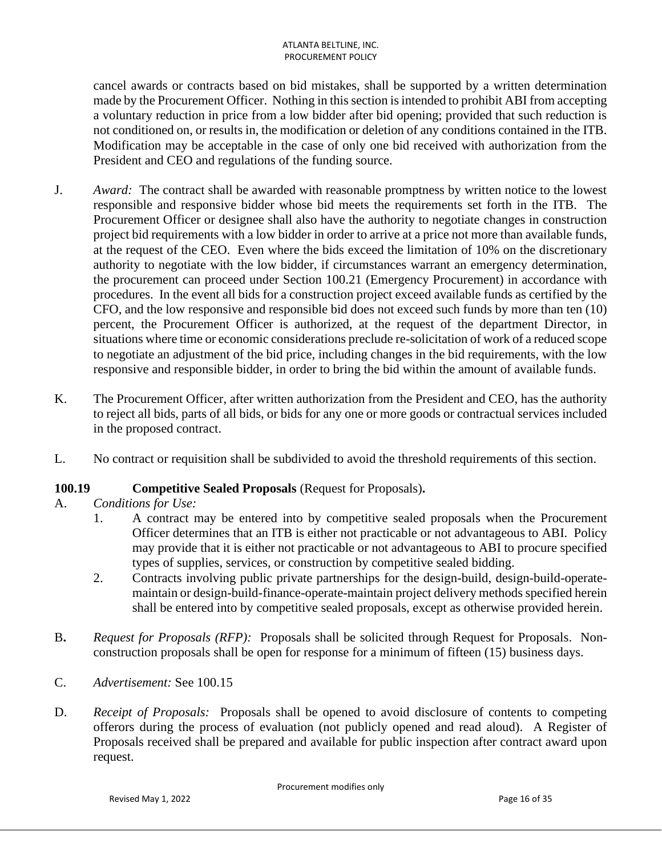cancel awards or contracts based on bid mistakes, shall be supported by a written determination made by the Procurement Officer. Nothing in this section is intended to prohibit ABI from accepting a voluntary reduction in price from a low bidder after bid opening; provided that such reduction is not conditioned on, or results in, the modification or deletion of any conditions contained in the ITB. Modification may be acceptable in the case of only one bid received with authorization from the President and CEO and regulations of the funding source.

- J. *Award:* The contract shall be awarded with reasonable promptness by written notice to the lowest responsible and responsive bidder whose bid meets the requirements set forth in the ITB. The Procurement Officer or designee shall also have the authority to negotiate changes in construction project bid requirements with a low bidder in order to arrive at a price not more than available funds, at the request of the CEO. Even where the bids exceed the limitation of 10% on the discretionary authority to negotiate with the low bidder, if circumstances warrant an emergency determination, the procurement can proceed under Section 100.21 (Emergency Procurement) in accordance with procedures. In the event all bids for a construction project exceed available funds as certified by the CFO, and the low responsive and responsible bid does not exceed such funds by more than ten (10) percent, the Procurement Officer is authorized, at the request of the department Director, in situations where time or economic considerations preclude re-solicitation of work of a reduced scope to negotiate an adjustment of the bid price, including changes in the bid requirements, with the low responsive and responsible bidder, in order to bring the bid within the amount of available funds.
- K. The Procurement Officer, after written authorization from the President and CEO, has the authority to reject all bids, parts of all bids, or bids for any one or more goods or contractual services included in the proposed contract.
- L. No contract or requisition shall be subdivided to avoid the threshold requirements of this section.

## **100.19 Competitive Sealed Proposals** (Request for Proposals)**.**

- A. *Conditions for Use:*
	- 1. A contract may be entered into by competitive sealed proposals when the Procurement Officer determines that an ITB is either not practicable or not advantageous to ABI. Policy may provide that it is either not practicable or not advantageous to ABI to procure specified types of supplies, services, or construction by competitive sealed bidding.
	- 2. Contracts involving public private partnerships for the design-build, design-build-operatemaintain or design-build-finance-operate-maintain project delivery methods specified herein shall be entered into by competitive sealed proposals, except as otherwise provided herein.
- B**.** *Request for Proposals (RFP):* Proposals shall be solicited through Request for Proposals. Nonconstruction proposals shall be open for response for a minimum of fifteen (15) business days.
- C. *Advertisement:* See 100.15
- D. *Receipt of Proposals:* Proposals shall be opened to avoid disclosure of contents to competing offerors during the process of evaluation (not publicly opened and read aloud). A Register of Proposals received shall be prepared and available for public inspection after contract award upon request.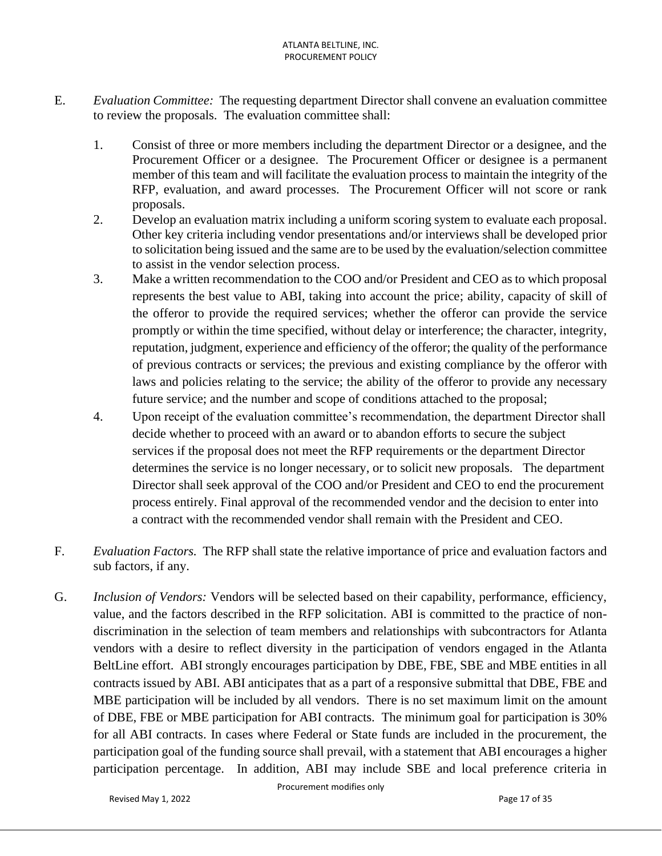- E. *Evaluation Committee:* The requesting department Director shall convene an evaluation committee to review the proposals. The evaluation committee shall:
	- 1. Consist of three or more members including the department Director or a designee, and the Procurement Officer or a designee. The Procurement Officer or designee is a permanent member of this team and will facilitate the evaluation process to maintain the integrity of the RFP, evaluation, and award processes. The Procurement Officer will not score or rank proposals.
	- 2. Develop an evaluation matrix including a uniform scoring system to evaluate each proposal. Other key criteria including vendor presentations and/or interviews shall be developed prior to solicitation being issued and the same are to be used by the evaluation/selection committee to assist in the vendor selection process.
	- 3. Make a written recommendation to the COO and/or President and CEO as to which proposal represents the best value to ABI, taking into account the price; ability, capacity of skill of the offeror to provide the required services; whether the offeror can provide the service promptly or within the time specified, without delay or interference; the character, integrity, reputation, judgment, experience and efficiency of the offeror; the quality of the performance of previous contracts or services; the previous and existing compliance by the offeror with laws and policies relating to the service; the ability of the offeror to provide any necessary future service; and the number and scope of conditions attached to the proposal;
	- 4. Upon receipt of the evaluation committee's recommendation, the department Director shall decide whether to proceed with an award or to abandon efforts to secure the subject services if the proposal does not meet the RFP requirements or the department Director determines the service is no longer necessary, or to solicit new proposals. The department Director shall seek approval of the COO and/or President and CEO to end the procurement process entirely. Final approval of the recommended vendor and the decision to enter into a contract with the recommended vendor shall remain with the President and CEO.
- F. *Evaluation Factors.* The RFP shall state the relative importance of price and evaluation factors and sub factors, if any.
- G. *Inclusion of Vendors:* Vendors will be selected based on their capability, performance, efficiency, value, and the factors described in the RFP solicitation. ABI is committed to the practice of nondiscrimination in the selection of team members and relationships with subcontractors for Atlanta vendors with a desire to reflect diversity in the participation of vendors engaged in the Atlanta BeltLine effort. ABI strongly encourages participation by DBE, FBE, SBE and MBE entities in all contracts issued by ABI. ABI anticipates that as a part of a responsive submittal that DBE, FBE and MBE participation will be included by all vendors. There is no set maximum limit on the amount of DBE, FBE or MBE participation for ABI contracts. The minimum goal for participation is 30% for all ABI contracts. In cases where Federal or State funds are included in the procurement, the participation goal of the funding source shall prevail, with a statement that ABI encourages a higher participation percentage. In addition, ABI may include SBE and local preference criteria in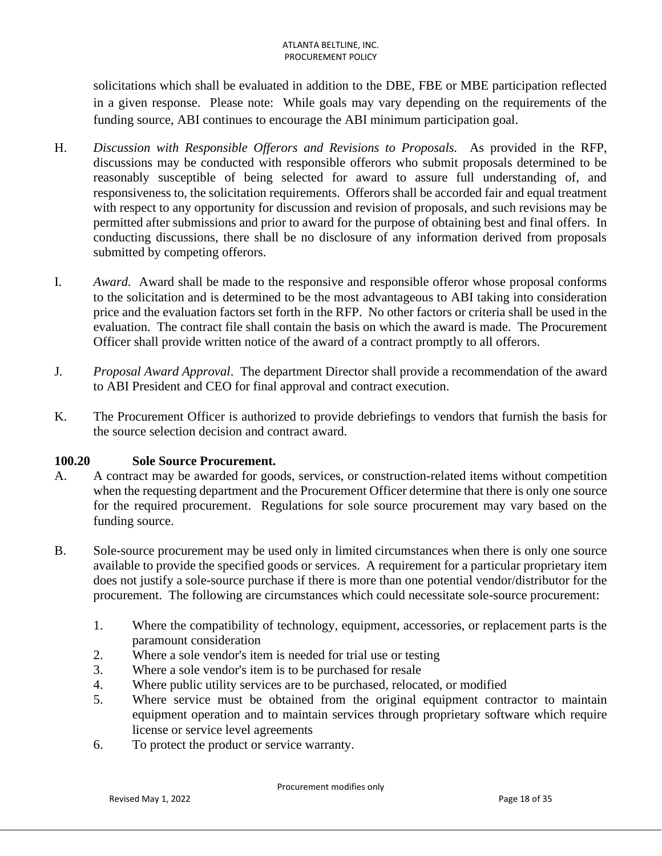solicitations which shall be evaluated in addition to the DBE, FBE or MBE participation reflected in a given response. Please note: While goals may vary depending on the requirements of the funding source, ABI continues to encourage the ABI minimum participation goal.

- H. *Discussion with Responsible Offerors and Revisions to Proposals.* As provided in the RFP, discussions may be conducted with responsible offerors who submit proposals determined to be reasonably susceptible of being selected for award to assure full understanding of, and responsiveness to, the solicitation requirements. Offerors shall be accorded fair and equal treatment with respect to any opportunity for discussion and revision of proposals, and such revisions may be permitted after submissions and prior to award for the purpose of obtaining best and final offers. In conducting discussions, there shall be no disclosure of any information derived from proposals submitted by competing offerors.
- I. *Award.* Award shall be made to the responsive and responsible offeror whose proposal conforms to the solicitation and is determined to be the most advantageous to ABI taking into consideration price and the evaluation factors set forth in the RFP. No other factors or criteria shall be used in the evaluation. The contract file shall contain the basis on which the award is made. The Procurement Officer shall provide written notice of the award of a contract promptly to all offerors.
- J*. Proposal Award Approval*. The department Director shall provide a recommendation of the award to ABI President and CEO for final approval and contract execution.
- K. The Procurement Officer is authorized to provide debriefings to vendors that furnish the basis for the source selection decision and contract award.

## **100.20 Sole Source Procurement.**

- A. A contract may be awarded for goods, services, or construction-related items without competition when the requesting department and the Procurement Officer determine that there is only one source for the required procurement. Regulations for sole source procurement may vary based on the funding source.
- B. Sole-source procurement may be used only in limited circumstances when there is only one source available to provide the specified goods or services. A requirement for a particular proprietary item does not justify a sole-source purchase if there is more than one potential vendor/distributor for the procurement. The following are circumstances which could necessitate sole-source procurement:
	- 1. Where the compatibility of technology, equipment, accessories, or replacement parts is the paramount consideration
	- 2. Where a sole vendor's item is needed for trial use or testing
	- 3. Where a sole vendor's item is to be purchased for resale
	- 4. Where public utility services are to be purchased, relocated, or modified
	- 5. Where service must be obtained from the original equipment contractor to maintain equipment operation and to maintain services through proprietary software which require license or service level agreements
	- 6. To protect the product or service warranty.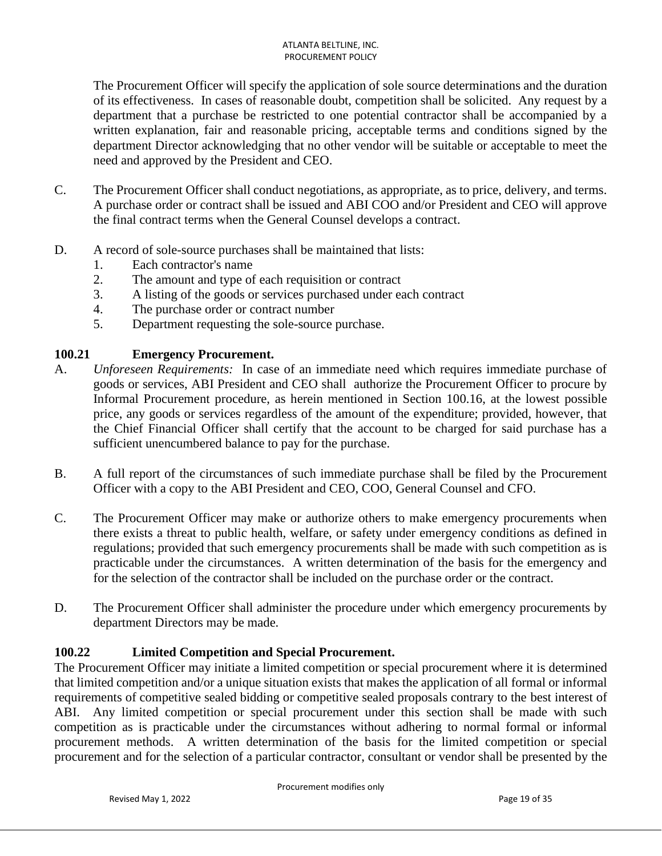The Procurement Officer will specify the application of sole source determinations and the duration of its effectiveness. In cases of reasonable doubt, competition shall be solicited. Any request by a department that a purchase be restricted to one potential contractor shall be accompanied by a written explanation, fair and reasonable pricing, acceptable terms and conditions signed by the department Director acknowledging that no other vendor will be suitable or acceptable to meet the need and approved by the President and CEO.

- C. The Procurement Officer shall conduct negotiations, as appropriate, as to price, delivery, and terms. A purchase order or contract shall be issued and ABI COO and/or President and CEO will approve the final contract terms when the General Counsel develops a contract.
- D. A record of sole-source purchases shall be maintained that lists:
	- 1. Each contractor's name
	- 2. The amount and type of each requisition or contract
	- 3. A listing of the goods or services purchased under each contract
	- 4. The purchase order or contract number
	- 5. Department requesting the sole-source purchase.

# **100.21 Emergency Procurement.**

- A. *Unforeseen Requirements:* In case of an immediate need which requires immediate purchase of goods or services, ABI President and CEO shall authorize the Procurement Officer to procure by Informal Procurement procedure, as herein mentioned in Section 100.16, at the lowest possible price, any goods or services regardless of the amount of the expenditure; provided, however, that the Chief Financial Officer shall certify that the account to be charged for said purchase has a sufficient unencumbered balance to pay for the purchase.
- B. A full report of the circumstances of such immediate purchase shall be filed by the Procurement Officer with a copy to the ABI President and CEO, COO, General Counsel and CFO.
- C. The Procurement Officer may make or authorize others to make emergency procurements when there exists a threat to public health, welfare, or safety under emergency conditions as defined in regulations; provided that such emergency procurements shall be made with such competition as is practicable under the circumstances. A written determination of the basis for the emergency and for the selection of the contractor shall be included on the purchase order or the contract.
- D. The Procurement Officer shall administer the procedure under which emergency procurements by department Directors may be made.

# **100.22 Limited Competition and Special Procurement.**

The Procurement Officer may initiate a limited competition or special procurement where it is determined that limited competition and/or a unique situation exists that makes the application of all formal or informal requirements of competitive sealed bidding or competitive sealed proposals contrary to the best interest of ABI. Any limited competition or special procurement under this section shall be made with such competition as is practicable under the circumstances without adhering to normal formal or informal procurement methods. A written determination of the basis for the limited competition or special procurement and for the selection of a particular contractor, consultant or vendor shall be presented by the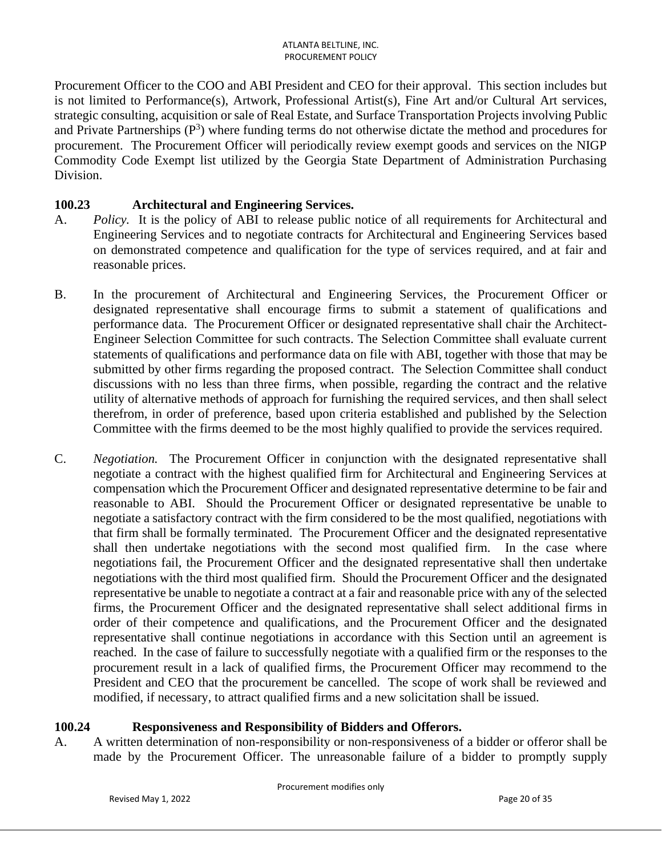Procurement Officer to the COO and ABI President and CEO for their approval. This section includes but is not limited to Performance(s), Artwork, Professional Artist(s), Fine Art and/or Cultural Art services, strategic consulting, acquisition or sale of Real Estate, and Surface Transportation Projects involving Public and Private Partnerships  $(P^3)$  where funding terms do not otherwise dictate the method and procedures for procurement. The Procurement Officer will periodically review exempt goods and services on the NIGP Commodity Code Exempt list utilized by the Georgia State Department of Administration Purchasing Division.

## **100.23 Architectural and Engineering Services.**

- A. *Policy.* It is the policy of ABI to release public notice of all requirements for Architectural and Engineering Services and to negotiate contracts for Architectural and Engineering Services based on demonstrated competence and qualification for the type of services required, and at fair and reasonable prices.
- B. In the procurement of Architectural and Engineering Services, the Procurement Officer or designated representative shall encourage firms to submit a statement of qualifications and performance data. The Procurement Officer or designated representative shall chair the Architect-Engineer Selection Committee for such contracts. The Selection Committee shall evaluate current statements of qualifications and performance data on file with ABI, together with those that may be submitted by other firms regarding the proposed contract. The Selection Committee shall conduct discussions with no less than three firms, when possible, regarding the contract and the relative utility of alternative methods of approach for furnishing the required services, and then shall select therefrom, in order of preference, based upon criteria established and published by the Selection Committee with the firms deemed to be the most highly qualified to provide the services required.
- C. *Negotiation.* The Procurement Officer in conjunction with the designated representative shall negotiate a contract with the highest qualified firm for Architectural and Engineering Services at compensation which the Procurement Officer and designated representative determine to be fair and reasonable to ABI. Should the Procurement Officer or designated representative be unable to negotiate a satisfactory contract with the firm considered to be the most qualified, negotiations with that firm shall be formally terminated. The Procurement Officer and the designated representative shall then undertake negotiations with the second most qualified firm. In the case where negotiations fail, the Procurement Officer and the designated representative shall then undertake negotiations with the third most qualified firm. Should the Procurement Officer and the designated representative be unable to negotiate a contract at a fair and reasonable price with any of the selected firms, the Procurement Officer and the designated representative shall select additional firms in order of their competence and qualifications, and the Procurement Officer and the designated representative shall continue negotiations in accordance with this Section until an agreement is reached. In the case of failure to successfully negotiate with a qualified firm or the responses to the procurement result in a lack of qualified firms, the Procurement Officer may recommend to the President and CEO that the procurement be cancelled. The scope of work shall be reviewed and modified, if necessary, to attract qualified firms and a new solicitation shall be issued.

## **100.24 Responsiveness and Responsibility of Bidders and Offerors.**

A. A written determination of non-responsibility or non-responsiveness of a bidder or offeror shall be made by the Procurement Officer. The unreasonable failure of a bidder to promptly supply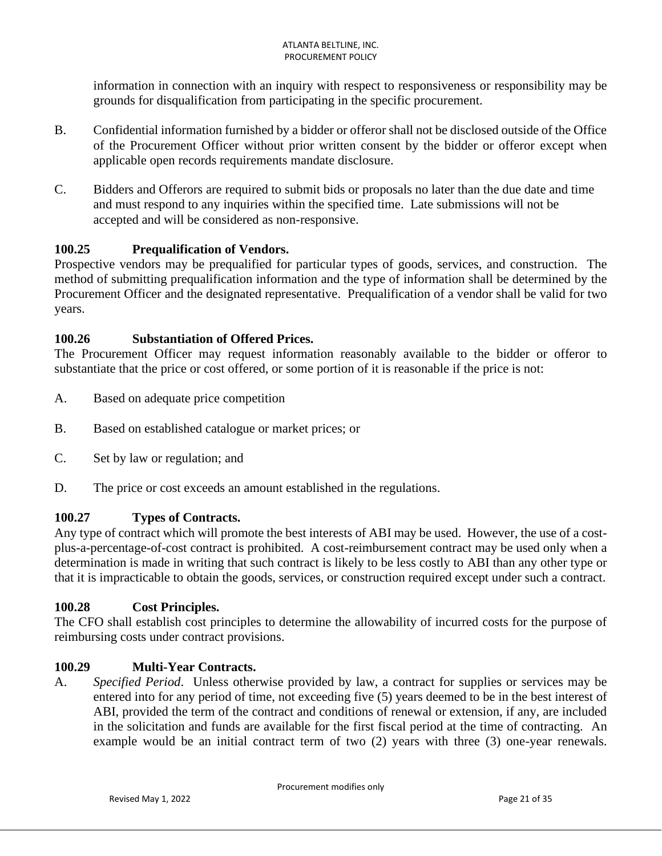information in connection with an inquiry with respect to responsiveness or responsibility may be grounds for disqualification from participating in the specific procurement.

- B. Confidential information furnished by a bidder or offeror shall not be disclosed outside of the Office of the Procurement Officer without prior written consent by the bidder or offeror except when applicable open records requirements mandate disclosure.
- C. Bidders and Offerors are required to submit bids or proposals no later than the due date and time and must respond to any inquiries within the specified time. Late submissions will not be accepted and will be considered as non-responsive.

# **100.25 Prequalification of Vendors.**

Prospective vendors may be prequalified for particular types of goods, services, and construction. The method of submitting prequalification information and the type of information shall be determined by the Procurement Officer and the designated representative. Prequalification of a vendor shall be valid for two years.

## **100.26 Substantiation of Offered Prices.**

The Procurement Officer may request information reasonably available to the bidder or offeror to substantiate that the price or cost offered, or some portion of it is reasonable if the price is not:

- A. Based on adequate price competition
- B. Based on established catalogue or market prices; or
- C. Set by law or regulation; and
- D. The price or cost exceeds an amount established in the regulations.

# **100.27 Types of Contracts.**

Any type of contract which will promote the best interests of ABI may be used. However, the use of a costplus-a-percentage-of-cost contract is prohibited. A cost-reimbursement contract may be used only when a determination is made in writing that such contract is likely to be less costly to ABI than any other type or that it is impracticable to obtain the goods, services, or construction required except under such a contract.

## **100.28 Cost Principles.**

The CFO shall establish cost principles to determine the allowability of incurred costs for the purpose of reimbursing costs under contract provisions.

## **100.29 Multi-Year Contracts.**

A. *Specified Period*. Unless otherwise provided by law, a contract for supplies or services may be entered into for any period of time, not exceeding five (5) years deemed to be in the best interest of ABI, provided the term of the contract and conditions of renewal or extension, if any, are included in the solicitation and funds are available for the first fiscal period at the time of contracting. An example would be an initial contract term of two (2) years with three (3) one-year renewals.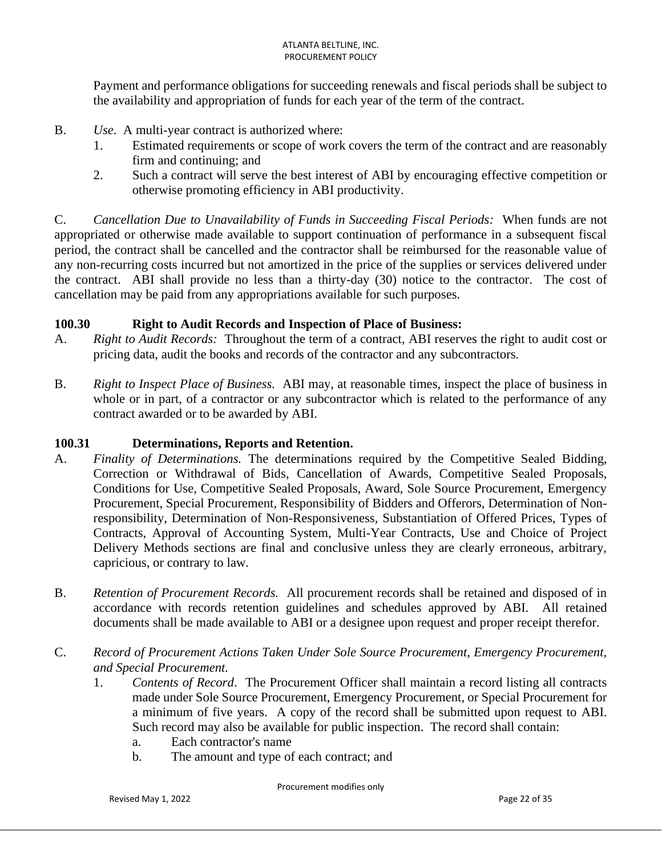Payment and performance obligations for succeeding renewals and fiscal periods shall be subject to the availability and appropriation of funds for each year of the term of the contract.

- B. *Use*. A multi-year contract is authorized where:
	- 1. Estimated requirements or scope of work covers the term of the contract and are reasonably firm and continuing; and
	- 2. Such a contract will serve the best interest of ABI by encouraging effective competition or otherwise promoting efficiency in ABI productivity.

C. *Cancellation Due to Unavailability of Funds in Succeeding Fiscal Periods:* When funds are not appropriated or otherwise made available to support continuation of performance in a subsequent fiscal period, the contract shall be cancelled and the contractor shall be reimbursed for the reasonable value of any non-recurring costs incurred but not amortized in the price of the supplies or services delivered under the contract. ABI shall provide no less than a thirty-day (30) notice to the contractor. The cost of cancellation may be paid from any appropriations available for such purposes.

### **100.30 Right to Audit Records and Inspection of Place of Business:**

- A. *Right to Audit Records:* Throughout the term of a contract, ABI reserves the right to audit cost or pricing data, audit the books and records of the contractor and any subcontractors.
- B. *Right to Inspect Place of Business.* ABI may, at reasonable times, inspect the place of business in whole or in part, of a contractor or any subcontractor which is related to the performance of any contract awarded or to be awarded by ABI.

#### **100.31 Determinations, Reports and Retention.**

- A. *Finality of Determinations.* The determinations required by the Competitive Sealed Bidding, Correction or Withdrawal of Bids, Cancellation of Awards, Competitive Sealed Proposals, Conditions for Use, Competitive Sealed Proposals, Award, Sole Source Procurement, Emergency Procurement, Special Procurement, Responsibility of Bidders and Offerors, Determination of Nonresponsibility, Determination of Non-Responsiveness, Substantiation of Offered Prices, Types of Contracts, Approval of Accounting System, Multi-Year Contracts, Use and Choice of Project Delivery Methods sections are final and conclusive unless they are clearly erroneous, arbitrary, capricious, or contrary to law.
- B. *Retention of Procurement Records.* All procurement records shall be retained and disposed of in accordance with records retention guidelines and schedules approved by ABI. All retained documents shall be made available to ABI or a designee upon request and proper receipt therefor.
- C. *Record of Procurement Actions Taken Under Sole Source Procurement, Emergency Procurement, and Special Procurement.*
	- 1. *Contents of Record*. The Procurement Officer shall maintain a record listing all contracts made under Sole Source Procurement, Emergency Procurement, or Special Procurement for a minimum of five years. A copy of the record shall be submitted upon request to ABI. Such record may also be available for public inspection. The record shall contain:
		- a. Each contractor's name
		- b. The amount and type of each contract; and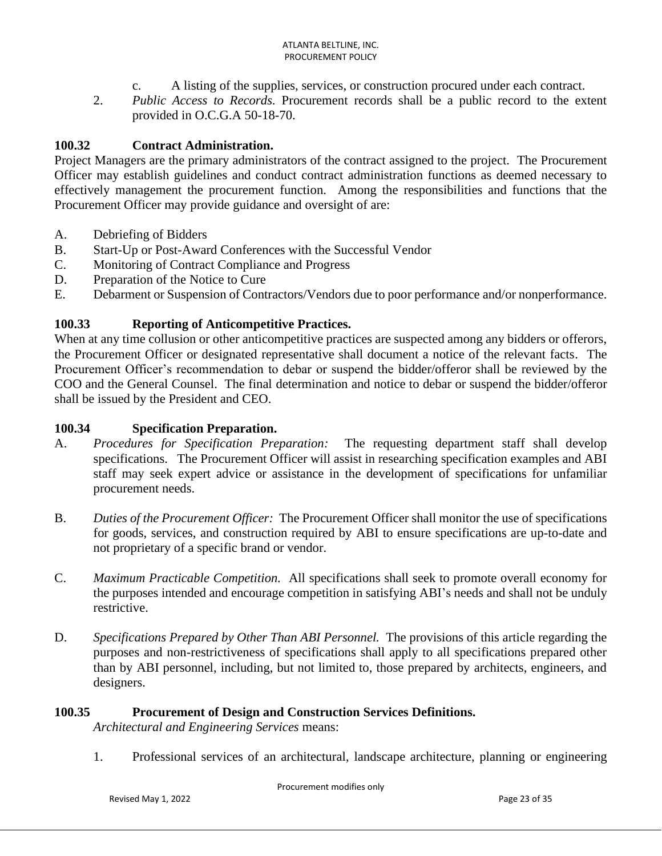- c. A listing of the supplies, services, or construction procured under each contract.
- 2. *Public Access to Records.* Procurement records shall be a public record to the extent provided in O.C.G.A 50-18-70.

### **100.32 Contract Administration.**

Project Managers are the primary administrators of the contract assigned to the project. The Procurement Officer may establish guidelines and conduct contract administration functions as deemed necessary to effectively management the procurement function. Among the responsibilities and functions that the Procurement Officer may provide guidance and oversight of are:

- A. Debriefing of Bidders
- B. Start-Up or Post-Award Conferences with the Successful Vendor
- C. Monitoring of Contract Compliance and Progress
- D. Preparation of the Notice to Cure
- E. Debarment or Suspension of Contractors/Vendors due to poor performance and/or nonperformance.

### **100.33 Reporting of Anticompetitive Practices.**

When at any time collusion or other anticompetitive practices are suspected among any bidders or offerors, the Procurement Officer or designated representative shall document a notice of the relevant facts. The Procurement Officer's recommendation to debar or suspend the bidder/offeror shall be reviewed by the COO and the General Counsel. The final determination and notice to debar or suspend the bidder/offeror shall be issued by the President and CEO.

#### **100.34 Specification Preparation.**

- A. *Procedures for Specification Preparation:* The requesting department staff shall develop specifications. The Procurement Officer will assist in researching specification examples and ABI staff may seek expert advice or assistance in the development of specifications for unfamiliar procurement needs.
- B. *Duties of the Procurement Officer:* The Procurement Officer shall monitor the use of specifications for goods, services, and construction required by ABI to ensure specifications are up-to-date and not proprietary of a specific brand or vendor.
- C. *Maximum Practicable Competition.* All specifications shall seek to promote overall economy for the purposes intended and encourage competition in satisfying ABI's needs and shall not be unduly restrictive.
- D. *Specifications Prepared by Other Than ABI Personnel.* The provisions of this article regarding the purposes and non-restrictiveness of specifications shall apply to all specifications prepared other than by ABI personnel, including, but not limited to, those prepared by architects, engineers, and designers.

#### **100.35 Procurement of Design and Construction Services Definitions.**

*Architectural and Engineering Services* means:

1. Professional services of an architectural, landscape architecture, planning or engineering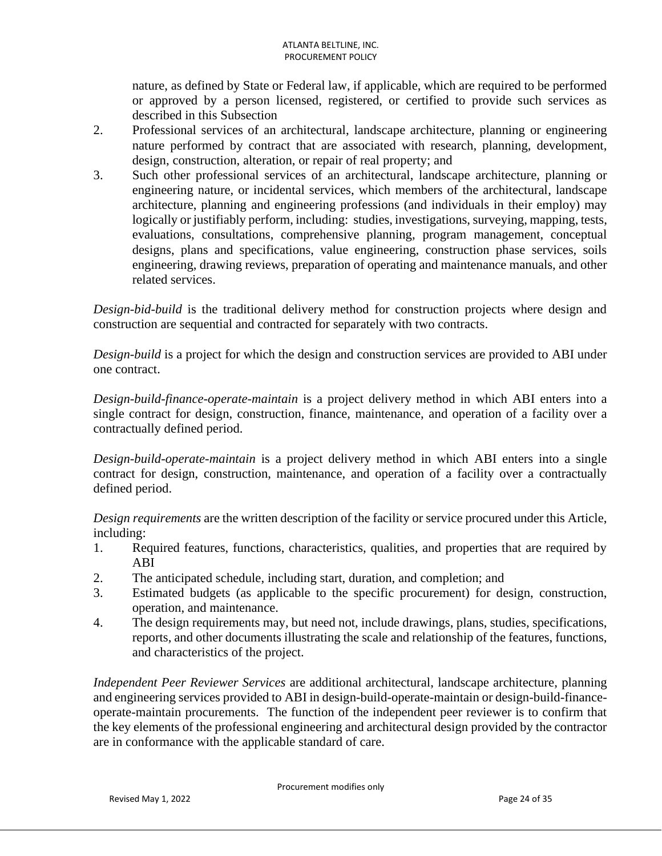nature, as defined by State or Federal law, if applicable, which are required to be performed or approved by a person licensed, registered, or certified to provide such services as described in this Subsection

- 2. Professional services of an architectural, landscape architecture, planning or engineering nature performed by contract that are associated with research, planning, development, design, construction, alteration, or repair of real property; and
- 3. Such other professional services of an architectural, landscape architecture, planning or engineering nature, or incidental services, which members of the architectural, landscape architecture, planning and engineering professions (and individuals in their employ) may logically or justifiably perform, including: studies, investigations, surveying, mapping, tests, evaluations, consultations, comprehensive planning, program management, conceptual designs, plans and specifications, value engineering, construction phase services, soils engineering, drawing reviews, preparation of operating and maintenance manuals, and other related services.

*Design-bid-build* is the traditional delivery method for construction projects where design and construction are sequential and contracted for separately with two contracts.

*Design-build* is a project for which the design and construction services are provided to ABI under one contract.

*Design-build-finance-operate-maintain* is a project delivery method in which ABI enters into a single contract for design, construction, finance, maintenance, and operation of a facility over a contractually defined period.

*Design-build-operate-maintain* is a project delivery method in which ABI enters into a single contract for design, construction, maintenance, and operation of a facility over a contractually defined period.

*Design requirements* are the written description of the facility or service procured under this Article, including:

- 1. Required features, functions, characteristics, qualities, and properties that are required by ABI
- 2. The anticipated schedule, including start, duration, and completion; and
- 3. Estimated budgets (as applicable to the specific procurement) for design, construction, operation, and maintenance.
- 4. The design requirements may, but need not, include drawings, plans, studies, specifications, reports, and other documents illustrating the scale and relationship of the features, functions, and characteristics of the project.

*Independent Peer Reviewer Services* are additional architectural, landscape architecture, planning and engineering services provided to ABI in design-build-operate-maintain or design-build-financeoperate-maintain procurements. The function of the independent peer reviewer is to confirm that the key elements of the professional engineering and architectural design provided by the contractor are in conformance with the applicable standard of care.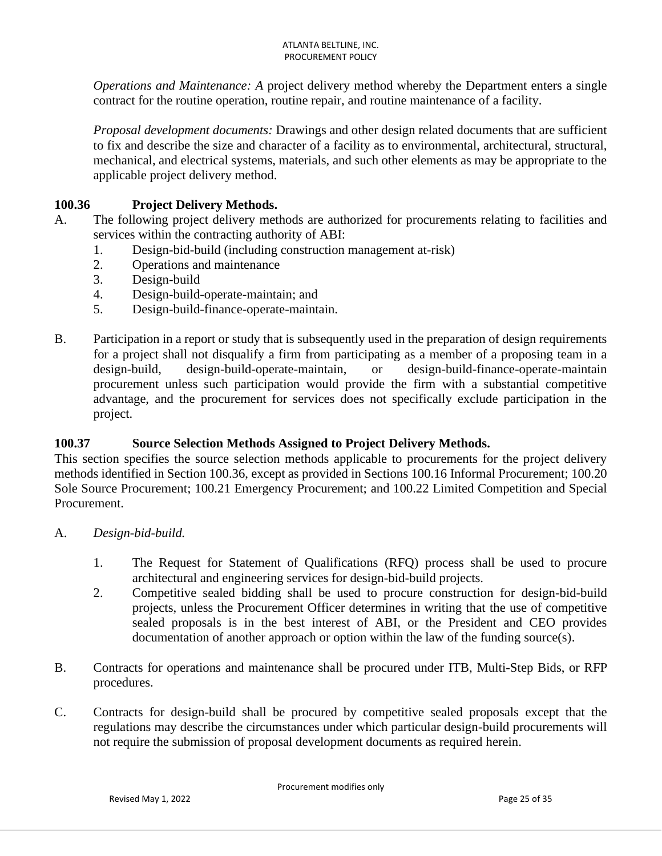*Operations and Maintenance: A* project delivery method whereby the Department enters a single contract for the routine operation, routine repair, and routine maintenance of a facility.

*Proposal development documents:* Drawings and other design related documents that are sufficient to fix and describe the size and character of a facility as to environmental, architectural, structural, mechanical, and electrical systems, materials, and such other elements as may be appropriate to the applicable project delivery method.

## **100.36 Project Delivery Methods.**

- A. The following project delivery methods are authorized for procurements relating to facilities and services within the contracting authority of ABI:
	- 1. Design-bid-build (including construction management at-risk)
	- 2. Operations and maintenance
	- 3. Design-build
	- 4. Design-build-operate-maintain; and
	- 5. Design-build-finance-operate-maintain.
- B. Participation in a report or study that is subsequently used in the preparation of design requirements for a project shall not disqualify a firm from participating as a member of a proposing team in a design-build, design-build-operate-maintain, or design-build-finance-operate-maintain procurement unless such participation would provide the firm with a substantial competitive advantage, and the procurement for services does not specifically exclude participation in the project.

## **100.37 Source Selection Methods Assigned to Project Delivery Methods.**

This section specifies the source selection methods applicable to procurements for the project delivery methods identified in Section 100.36, except as provided in Sections 100.16 Informal Procurement; 100.20 Sole Source Procurement; 100.21 Emergency Procurement; and 100.22 Limited Competition and Special Procurement.

- A. *Design-bid-build.*
	- 1. The Request for Statement of Qualifications (RFQ) process shall be used to procure architectural and engineering services for design-bid-build projects.
	- 2. Competitive sealed bidding shall be used to procure construction for design-bid-build projects, unless the Procurement Officer determines in writing that the use of competitive sealed proposals is in the best interest of ABI, or the President and CEO provides documentation of another approach or option within the law of the funding source(s).
- B. Contracts for operations and maintenance shall be procured under ITB, Multi-Step Bids, or RFP procedures.
- C. Contracts for design-build shall be procured by competitive sealed proposals except that the regulations may describe the circumstances under which particular design-build procurements will not require the submission of proposal development documents as required herein.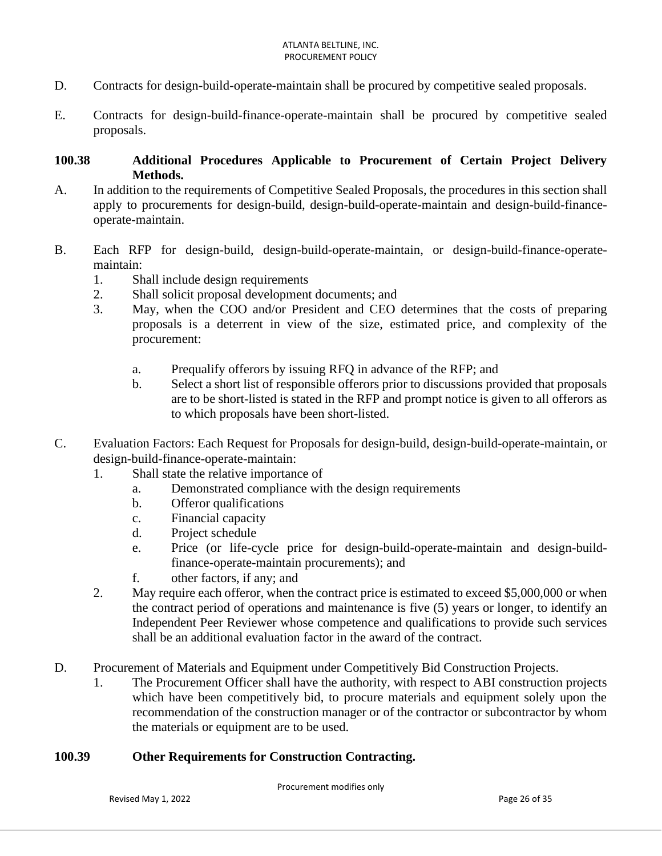- D. Contracts for design-build-operate-maintain shall be procured by competitive sealed proposals.
- E. Contracts for design-build-finance-operate-maintain shall be procured by competitive sealed proposals.

### **100.38 Additional Procedures Applicable to Procurement of Certain Project Delivery Methods.**

- A. In addition to the requirements of Competitive Sealed Proposals, the procedures in this section shall apply to procurements for design-build, design-build-operate-maintain and design-build-financeoperate-maintain.
- B. Each RFP for design-build, design-build-operate-maintain, or design-build-finance-operatemaintain:
	- 1. Shall include design requirements
	- 2. Shall solicit proposal development documents; and
	- 3. May, when the COO and/or President and CEO determines that the costs of preparing proposals is a deterrent in view of the size, estimated price, and complexity of the procurement:
		- a. Prequalify offerors by issuing RFQ in advance of the RFP; and
		- b. Select a short list of responsible offerors prior to discussions provided that proposals are to be short-listed is stated in the RFP and prompt notice is given to all offerors as to which proposals have been short-listed.
- C. Evaluation Factors: Each Request for Proposals for design-build, design-build-operate-maintain, or design-build-finance-operate-maintain:
	- 1. Shall state the relative importance of
		- a. Demonstrated compliance with the design requirements
		- b. Offeror qualifications
		- c. Financial capacity
		- d. Project schedule
		- e. Price (or life-cycle price for design-build-operate-maintain and design-buildfinance-operate-maintain procurements); and
		- f. other factors, if any; and
	- 2. May require each offeror, when the contract price is estimated to exceed \$5,000,000 or when the contract period of operations and maintenance is five (5) years or longer, to identify an Independent Peer Reviewer whose competence and qualifications to provide such services shall be an additional evaluation factor in the award of the contract.
- D. Procurement of Materials and Equipment under Competitively Bid Construction Projects.
	- 1. The Procurement Officer shall have the authority, with respect to ABI construction projects which have been competitively bid, to procure materials and equipment solely upon the recommendation of the construction manager or of the contractor or subcontractor by whom the materials or equipment are to be used.

### **100.39 Other Requirements for Construction Contracting.**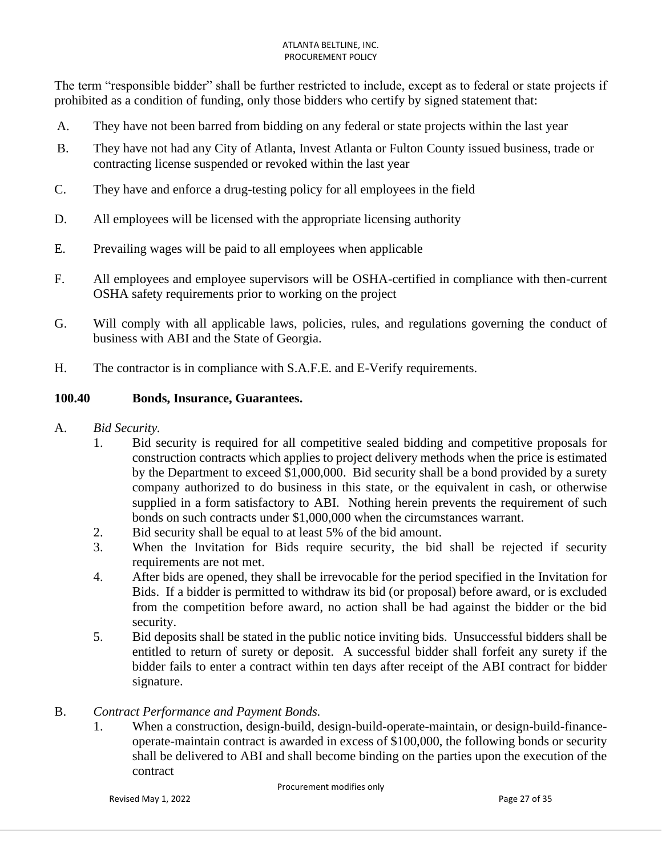The term "responsible bidder" shall be further restricted to include, except as to federal or state projects if prohibited as a condition of funding, only those bidders who certify by signed statement that:

- A. They have not been barred from bidding on any federal or state projects within the last year
- B. They have not had any City of Atlanta, Invest Atlanta or Fulton County issued business, trade or contracting license suspended or revoked within the last year
- C. They have and enforce a drug-testing policy for all employees in the field
- D. All employees will be licensed with the appropriate licensing authority
- E. Prevailing wages will be paid to all employees when applicable
- F. All employees and employee supervisors will be OSHA-certified in compliance with then-current OSHA safety requirements prior to working on the project
- G. Will comply with all applicable laws, policies, rules, and regulations governing the conduct of business with ABI and the State of Georgia.
- H. The contractor is in compliance with S.A.F.E. and E-Verify requirements.

## **100.40 Bonds, Insurance, Guarantees.**

- A. *Bid Security.*
	- 1. Bid security is required for all competitive sealed bidding and competitive proposals for construction contracts which applies to project delivery methods when the price is estimated by the Department to exceed \$1,000,000. Bid security shall be a bond provided by a surety company authorized to do business in this state, or the equivalent in cash, or otherwise supplied in a form satisfactory to ABI. Nothing herein prevents the requirement of such bonds on such contracts under \$1,000,000 when the circumstances warrant.
	- 2. Bid security shall be equal to at least 5% of the bid amount.
	- 3. When the Invitation for Bids require security, the bid shall be rejected if security requirements are not met.
	- 4. After bids are opened, they shall be irrevocable for the period specified in the Invitation for Bids. If a bidder is permitted to withdraw its bid (or proposal) before award, or is excluded from the competition before award, no action shall be had against the bidder or the bid security.
	- 5. Bid deposits shall be stated in the public notice inviting bids. Unsuccessful bidders shall be entitled to return of surety or deposit. A successful bidder shall forfeit any surety if the bidder fails to enter a contract within ten days after receipt of the ABI contract for bidder signature.

#### B. *Contract Performance and Payment Bonds.*

1. When a construction, design-build, design-build-operate-maintain, or design-build-financeoperate-maintain contract is awarded in excess of \$100,000, the following bonds or security shall be delivered to ABI and shall become binding on the parties upon the execution of the contract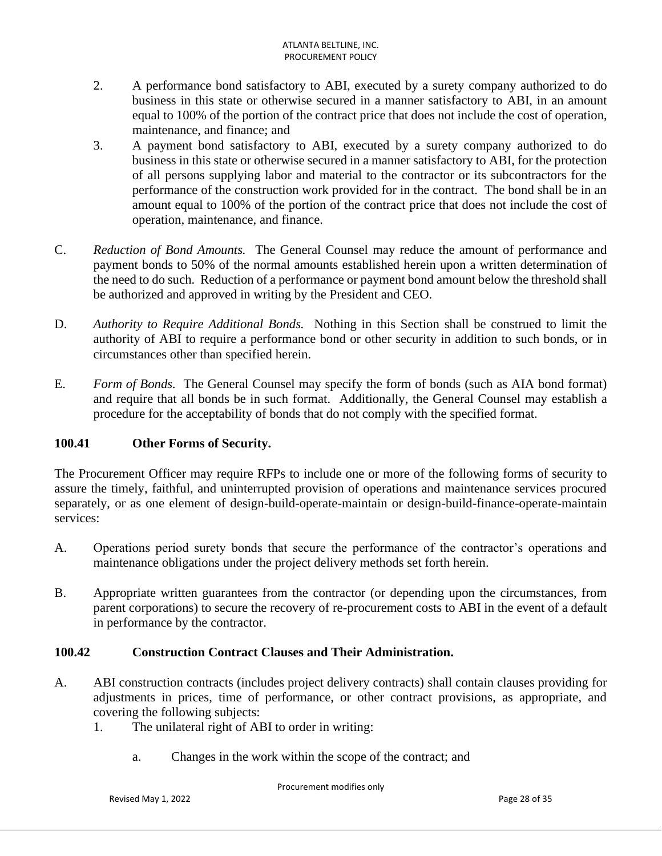- 2. A performance bond satisfactory to ABI, executed by a surety company authorized to do business in this state or otherwise secured in a manner satisfactory to ABI, in an amount equal to 100% of the portion of the contract price that does not include the cost of operation, maintenance, and finance; and
- 3. A payment bond satisfactory to ABI, executed by a surety company authorized to do business in this state or otherwise secured in a manner satisfactory to ABI, for the protection of all persons supplying labor and material to the contractor or its subcontractors for the performance of the construction work provided for in the contract. The bond shall be in an amount equal to 100% of the portion of the contract price that does not include the cost of operation, maintenance, and finance.
- C. *Reduction of Bond Amounts.* The General Counsel may reduce the amount of performance and payment bonds to 50% of the normal amounts established herein upon a written determination of the need to do such. Reduction of a performance or payment bond amount below the threshold shall be authorized and approved in writing by the President and CEO.
- D. *Authority to Require Additional Bonds.* Nothing in this Section shall be construed to limit the authority of ABI to require a performance bond or other security in addition to such bonds, or in circumstances other than specified herein.
- E. *Form of Bonds.* The General Counsel may specify the form of bonds (such as AIA bond format) and require that all bonds be in such format. Additionally, the General Counsel may establish a procedure for the acceptability of bonds that do not comply with the specified format.

# **100.41 Other Forms of Security.**

The Procurement Officer may require RFPs to include one or more of the following forms of security to assure the timely, faithful, and uninterrupted provision of operations and maintenance services procured separately, or as one element of design-build-operate-maintain or design-build-finance-operate-maintain services:

- A. Operations period surety bonds that secure the performance of the contractor's operations and maintenance obligations under the project delivery methods set forth herein.
- B. Appropriate written guarantees from the contractor (or depending upon the circumstances, from parent corporations) to secure the recovery of re-procurement costs to ABI in the event of a default in performance by the contractor.

## **100.42 Construction Contract Clauses and Their Administration.**

- A. ABI construction contracts (includes project delivery contracts) shall contain clauses providing for adjustments in prices, time of performance, or other contract provisions, as appropriate, and covering the following subjects:
	- 1. The unilateral right of ABI to order in writing:
		- a. Changes in the work within the scope of the contract; and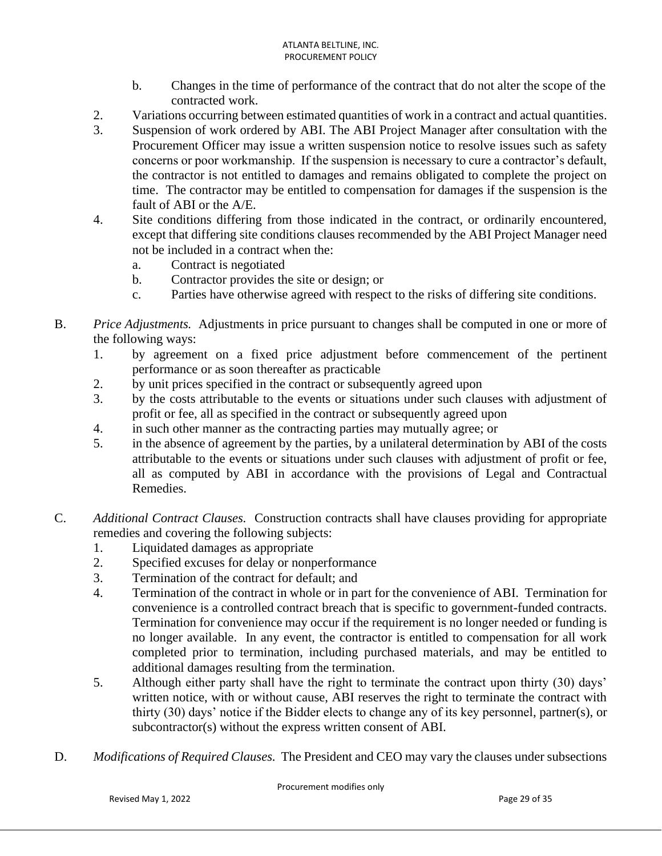- b. Changes in the time of performance of the contract that do not alter the scope of the contracted work.
- 2. Variations occurring between estimated quantities of work in a contract and actual quantities.
- 3. Suspension of work ordered by ABI. The ABI Project Manager after consultation with the Procurement Officer may issue a written suspension notice to resolve issues such as safety concerns or poor workmanship. If the suspension is necessary to cure a contractor's default, the contractor is not entitled to damages and remains obligated to complete the project on time. The contractor may be entitled to compensation for damages if the suspension is the fault of ABI or the A/E.
- 4. Site conditions differing from those indicated in the contract, or ordinarily encountered, except that differing site conditions clauses recommended by the ABI Project Manager need not be included in a contract when the:
	- a. Contract is negotiated
	- b. Contractor provides the site or design; or
	- c. Parties have otherwise agreed with respect to the risks of differing site conditions.
- B. *Price Adjustments.* Adjustments in price pursuant to changes shall be computed in one or more of the following ways:
	- 1. by agreement on a fixed price adjustment before commencement of the pertinent performance or as soon thereafter as practicable
	- 2. by unit prices specified in the contract or subsequently agreed upon
	- 3. by the costs attributable to the events or situations under such clauses with adjustment of profit or fee, all as specified in the contract or subsequently agreed upon
	- 4. in such other manner as the contracting parties may mutually agree; or
	- 5. in the absence of agreement by the parties, by a unilateral determination by ABI of the costs attributable to the events or situations under such clauses with adjustment of profit or fee, all as computed by ABI in accordance with the provisions of Legal and Contractual Remedies.
- C. *Additional Contract Clauses.* Construction contracts shall have clauses providing for appropriate remedies and covering the following subjects:
	- 1. Liquidated damages as appropriate
	- 2. Specified excuses for delay or nonperformance
	- 3. Termination of the contract for default; and
	- 4. Termination of the contract in whole or in part for the convenience of ABI. Termination for convenience is a controlled contract breach that is specific to government-funded contracts. Termination for convenience may occur if the requirement is no longer needed or funding is no longer available. In any event, the contractor is entitled to compensation for all work completed prior to termination, including purchased materials, and may be entitled to additional damages resulting from the termination.
	- 5. Although either party shall have the right to terminate the contract upon thirty (30) days' written notice, with or without cause, ABI reserves the right to terminate the contract with thirty (30) days' notice if the Bidder elects to change any of its key personnel, partner(s), or subcontractor(s) without the express written consent of ABI.
- D. *Modifications of Required Clauses.* The President and CEO may vary the clauses under subsections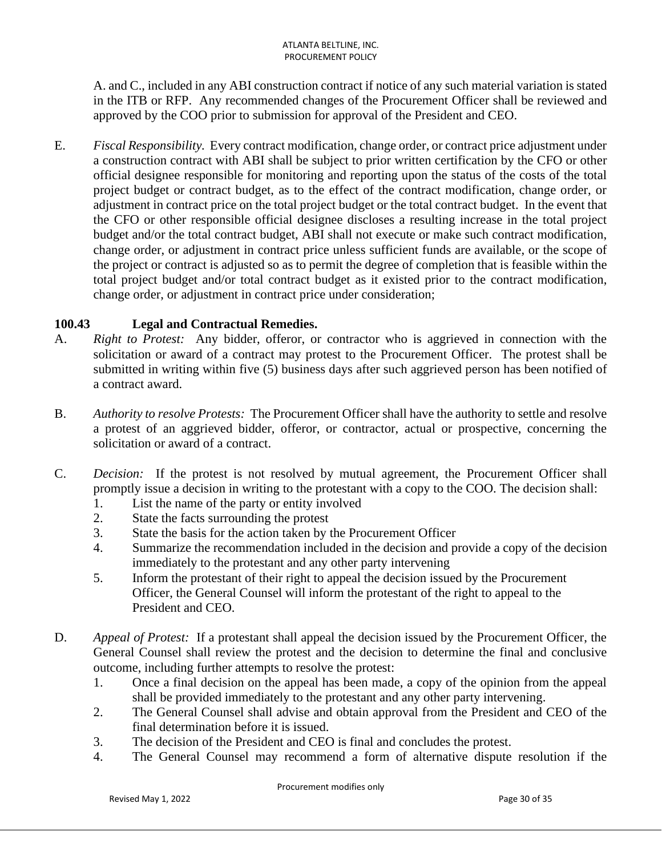A. and C., included in any ABI construction contract if notice of any such material variation is stated in the ITB or RFP. Any recommended changes of the Procurement Officer shall be reviewed and approved by the COO prior to submission for approval of the President and CEO.

E. *Fiscal Responsibility.* Every contract modification, change order, or contract price adjustment under a construction contract with ABI shall be subject to prior written certification by the CFO or other official designee responsible for monitoring and reporting upon the status of the costs of the total project budget or contract budget, as to the effect of the contract modification, change order, or adjustment in contract price on the total project budget or the total contract budget. In the event that the CFO or other responsible official designee discloses a resulting increase in the total project budget and/or the total contract budget, ABI shall not execute or make such contract modification, change order, or adjustment in contract price unless sufficient funds are available, or the scope of the project or contract is adjusted so as to permit the degree of completion that is feasible within the total project budget and/or total contract budget as it existed prior to the contract modification, change order, or adjustment in contract price under consideration;

## **100.43 Legal and Contractual Remedies.**

- A. *Right to Protest:* Any bidder, offeror, or contractor who is aggrieved in connection with the solicitation or award of a contract may protest to the Procurement Officer. The protest shall be submitted in writing within five (5) business days after such aggrieved person has been notified of a contract award.
- B. *Authority to resolve Protests:* The Procurement Officer shall have the authority to settle and resolve a protest of an aggrieved bidder, offeror, or contractor, actual or prospective, concerning the solicitation or award of a contract.
- C. *Decision:* If the protest is not resolved by mutual agreement, the Procurement Officer shall promptly issue a decision in writing to the protestant with a copy to the COO. The decision shall:
	- 1. List the name of the party or entity involved
	- 2. State the facts surrounding the protest
	- 3. State the basis for the action taken by the Procurement Officer
	- 4. Summarize the recommendation included in the decision and provide a copy of the decision immediately to the protestant and any other party intervening
	- 5. Inform the protestant of their right to appeal the decision issued by the Procurement Officer, the General Counsel will inform the protestant of the right to appeal to the President and CEO.
- D. *Appeal of Protest:* If a protestant shall appeal the decision issued by the Procurement Officer, the General Counsel shall review the protest and the decision to determine the final and conclusive outcome, including further attempts to resolve the protest:
	- 1. Once a final decision on the appeal has been made, a copy of the opinion from the appeal shall be provided immediately to the protestant and any other party intervening.
	- 2. The General Counsel shall advise and obtain approval from the President and CEO of the final determination before it is issued.
	- 3. The decision of the President and CEO is final and concludes the protest.
	- 4. The General Counsel may recommend a form of alternative dispute resolution if the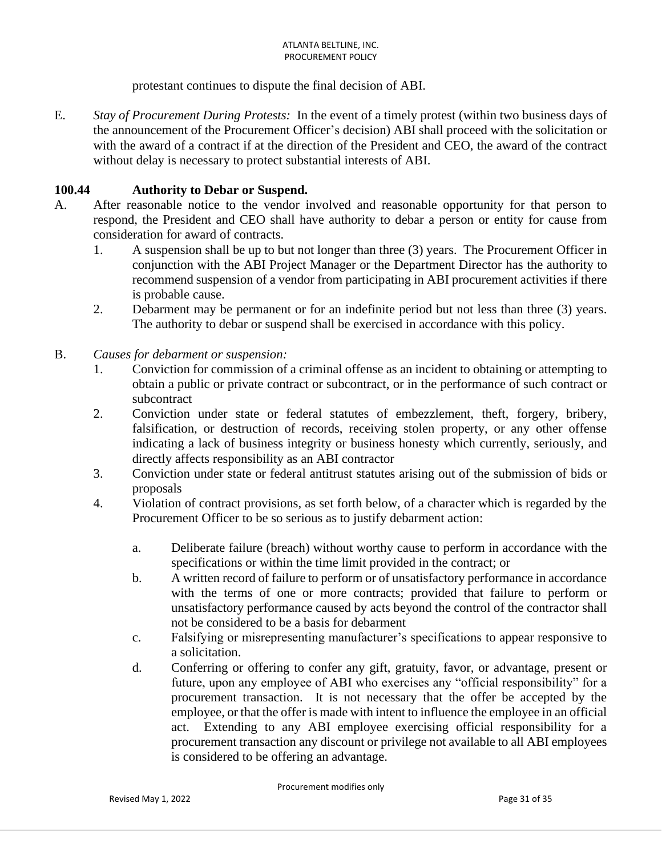protestant continues to dispute the final decision of ABI.

E. *Stay of Procurement During Protests:* In the event of a timely protest (within two business days of the announcement of the Procurement Officer's decision) ABI shall proceed with the solicitation or with the award of a contract if at the direction of the President and CEO, the award of the contract without delay is necessary to protect substantial interests of ABI.

### **100.44 Authority to Debar or Suspend.**

- A. After reasonable notice to the vendor involved and reasonable opportunity for that person to respond, the President and CEO shall have authority to debar a person or entity for cause from consideration for award of contracts.
	- 1. A suspension shall be up to but not longer than three (3) years. The Procurement Officer in conjunction with the ABI Project Manager or the Department Director has the authority to recommend suspension of a vendor from participating in ABI procurement activities if there is probable cause.
	- 2. Debarment may be permanent or for an indefinite period but not less than three (3) years. The authority to debar or suspend shall be exercised in accordance with this policy.
- B. *Causes for debarment or suspension:*
	- 1. Conviction for commission of a criminal offense as an incident to obtaining or attempting to obtain a public or private contract or subcontract, or in the performance of such contract or subcontract
	- 2. Conviction under state or federal statutes of embezzlement, theft, forgery, bribery, falsification, or destruction of records, receiving stolen property, or any other offense indicating a lack of business integrity or business honesty which currently, seriously, and directly affects responsibility as an ABI contractor
	- 3. Conviction under state or federal antitrust statutes arising out of the submission of bids or proposals
	- 4. Violation of contract provisions, as set forth below, of a character which is regarded by the Procurement Officer to be so serious as to justify debarment action:
		- a. Deliberate failure (breach) without worthy cause to perform in accordance with the specifications or within the time limit provided in the contract; or
		- b. A written record of failure to perform or of unsatisfactory performance in accordance with the terms of one or more contracts; provided that failure to perform or unsatisfactory performance caused by acts beyond the control of the contractor shall not be considered to be a basis for debarment
		- c. Falsifying or misrepresenting manufacturer's specifications to appear responsive to a solicitation.
		- d. Conferring or offering to confer any gift, gratuity, favor, or advantage, present or future, upon any employee of ABI who exercises any "official responsibility" for a procurement transaction. It is not necessary that the offer be accepted by the employee, or that the offer is made with intent to influence the employee in an official act. Extending to any ABI employee exercising official responsibility for a procurement transaction any discount or privilege not available to all ABI employees is considered to be offering an advantage.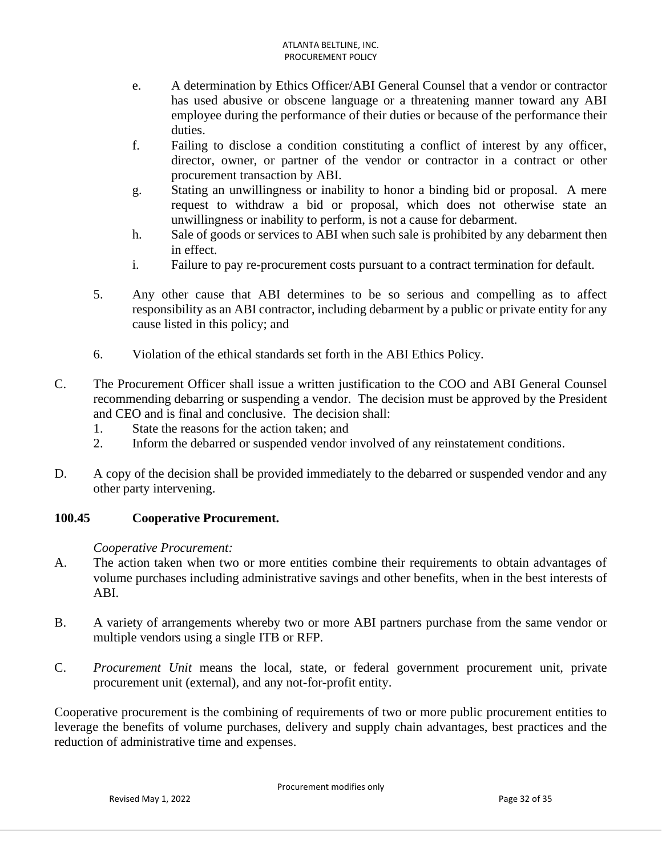- e. A determination by Ethics Officer/ABI General Counsel that a vendor or contractor has used abusive or obscene language or a threatening manner toward any ABI employee during the performance of their duties or because of the performance their duties.
- f. Failing to disclose a condition constituting a conflict of interest by any officer, director, owner, or partner of the vendor or contractor in a contract or other procurement transaction by ABI.
- g. Stating an unwillingness or inability to honor a binding bid or proposal. A mere request to withdraw a bid or proposal, which does not otherwise state an unwillingness or inability to perform, is not a cause for debarment.
- h. Sale of goods or services to ABI when such sale is prohibited by any debarment then in effect.
- i. Failure to pay re-procurement costs pursuant to a contract termination for default.
- 5. Any other cause that ABI determines to be so serious and compelling as to affect responsibility as an ABI contractor, including debarment by a public or private entity for any cause listed in this policy; and
- 6. Violation of the ethical standards set forth in the ABI Ethics Policy.
- C. The Procurement Officer shall issue a written justification to the COO and ABI General Counsel recommending debarring or suspending a vendor. The decision must be approved by the President and CEO and is final and conclusive. The decision shall:
	- 1. State the reasons for the action taken; and
	- 2. Inform the debarred or suspended vendor involved of any reinstatement conditions.
- D. A copy of the decision shall be provided immediately to the debarred or suspended vendor and any other party intervening.

## **100.45 Cooperative Procurement.**

## *Cooperative Procurement:*

- A. The action taken when two or more entities combine their requirements to obtain advantages of volume purchases including administrative savings and other benefits, when in the best interests of ABI.
- B. A variety of arrangements whereby two or more ABI partners purchase from the same vendor or multiple vendors using a single ITB or RFP.
- C. *Procurement Unit* means the local, state, or federal government procurement unit, private procurement unit (external), and any not-for-profit entity.

Cooperative procurement is the combining of requirements of two or more public procurement entities to leverage the benefits of volume purchases, delivery and supply chain advantages, best practices and the reduction of administrative time and expenses.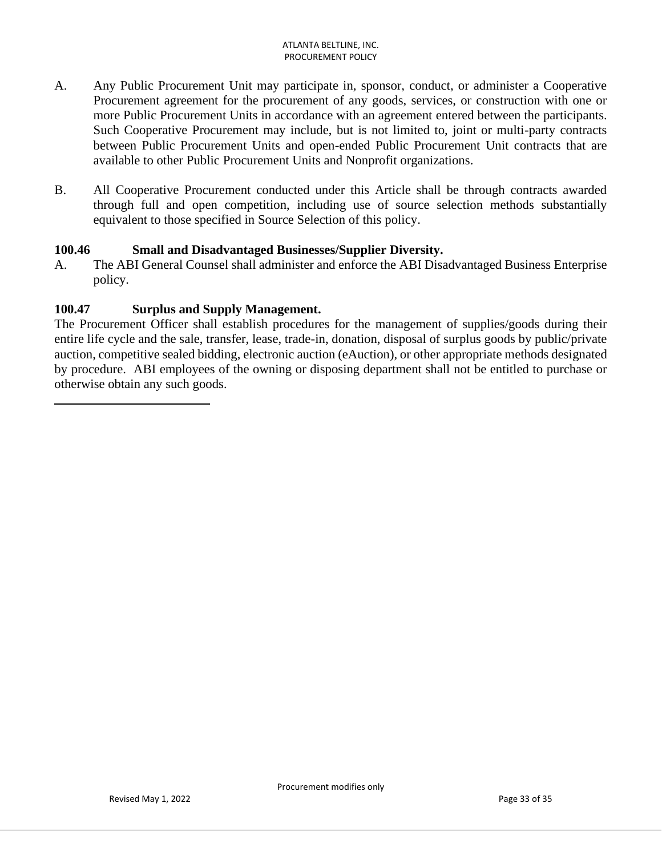- A. Any Public Procurement Unit may participate in, sponsor, conduct, or administer a Cooperative Procurement agreement for the procurement of any goods, services, or construction with one or more Public Procurement Units in accordance with an agreement entered between the participants. Such Cooperative Procurement may include, but is not limited to, joint or multi-party contracts between Public Procurement Units and open-ended Public Procurement Unit contracts that are available to other Public Procurement Units and Nonprofit organizations.
- B. All Cooperative Procurement conducted under this Article shall be through contracts awarded through full and open competition, including use of source selection methods substantially equivalent to those specified in Source Selection of this policy.

### **100.46 Small and Disadvantaged Businesses/Supplier Diversity.**

A. The ABI General Counsel shall administer and enforce the ABI Disadvantaged Business Enterprise policy.

### **100.47 Surplus and Supply Management.**

The Procurement Officer shall establish procedures for the management of supplies/goods during their entire life cycle and the sale, transfer, lease, trade-in, donation, disposal of surplus goods by public/private auction, competitive sealed bidding, electronic auction (eAuction), or other appropriate methods designated by procedure. ABI employees of the owning or disposing department shall not be entitled to purchase or otherwise obtain any such goods.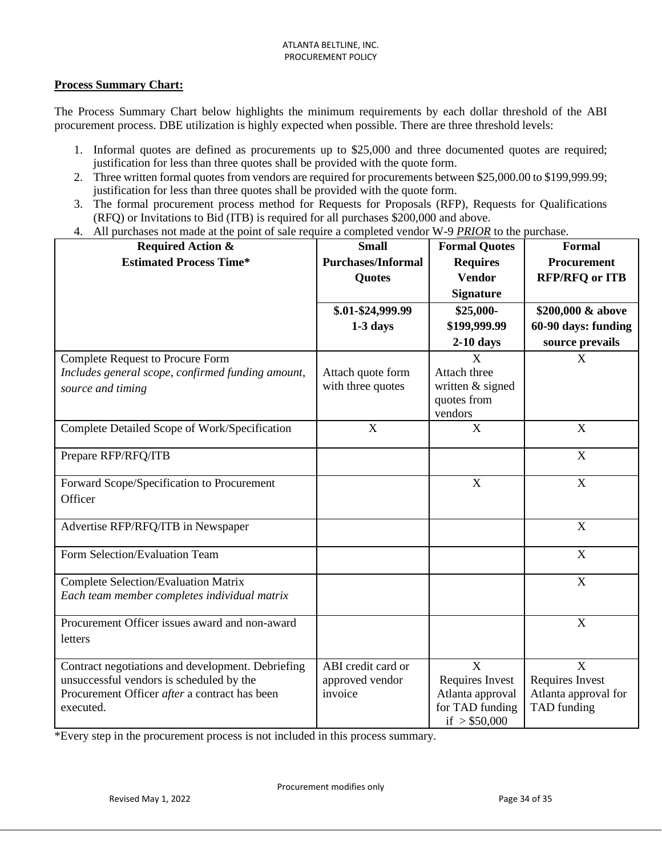#### **Process Summary Chart:**

The Process Summary Chart below highlights the minimum requirements by each dollar threshold of the ABI procurement process. DBE utilization is highly expected when possible. There are three threshold levels:

- 1. Informal quotes are defined as procurements up to \$25,000 and three documented quotes are required; justification for less than three quotes shall be provided with the quote form.
- 2. Three written formal quotes from vendors are required for procurements between \$25,000.00 to \$199,999.99; justification for less than three quotes shall be provided with the quote form.
- 3. The formal procurement process method for Requests for Proposals (RFP), Requests for Qualifications (RFQ) or Invitations to Bid (ITB) is required for all purchases \$200,000 and above.
- 4. All purchases not made at the point of sale require a completed vendor W-9 *PRIOR* to the purchase.

| <b>Required Action &amp;</b>                      | <b>Small</b>              | <b>Formal Quotes</b>              | <b>Formal</b>         |
|---------------------------------------------------|---------------------------|-----------------------------------|-----------------------|
| <b>Estimated Process Time*</b>                    | <b>Purchases/Informal</b> | <b>Requires</b>                   | <b>Procurement</b>    |
|                                                   | <b>Quotes</b>             | <b>Vendor</b>                     | <b>RFP/RFQ or ITB</b> |
|                                                   |                           | <b>Signature</b>                  |                       |
|                                                   | \$.01-\$24,999.99         | \$25,000-                         | \$200,000 & above     |
|                                                   | $1-3$ days                | \$199,999.99                      | 60-90 days: funding   |
|                                                   |                           | $2-10$ days                       | source prevails       |
| <b>Complete Request to Procure Form</b>           |                           | X                                 | X                     |
| Includes general scope, confirmed funding amount, | Attach quote form         | Attach three                      |                       |
| source and timing                                 | with three quotes         | written & signed                  |                       |
|                                                   |                           | quotes from                       |                       |
|                                                   |                           | vendors                           |                       |
| Complete Detailed Scope of Work/Specification     | X                         | X                                 | X                     |
| Prepare RFP/RFQ/ITB                               |                           |                                   | X                     |
| Forward Scope/Specification to Procurement        |                           | $\mathbf X$                       | $\mathbf X$           |
| Officer                                           |                           |                                   |                       |
| Advertise RFP/RFQ/ITB in Newspaper                |                           |                                   | X                     |
| Form Selection/Evaluation Team                    |                           |                                   | X                     |
| <b>Complete Selection/Evaluation Matrix</b>       |                           |                                   | X                     |
| Each team member completes individual matrix      |                           |                                   |                       |
| Procurement Officer issues award and non-award    |                           |                                   | X                     |
| letters                                           |                           |                                   |                       |
| Contract negotiations and development. Debriefing | ABI credit card or        | X                                 | X                     |
| unsuccessful vendors is scheduled by the          | approved vendor           | Requires Invest                   | Requires Invest       |
| Procurement Officer after a contract has been     | invoice                   | Atlanta approval                  | Atlanta approval for  |
| executed.                                         |                           | for TAD funding<br>if $> $50,000$ | TAD funding           |

\*Every step in the procurement process is not included in this process summary.